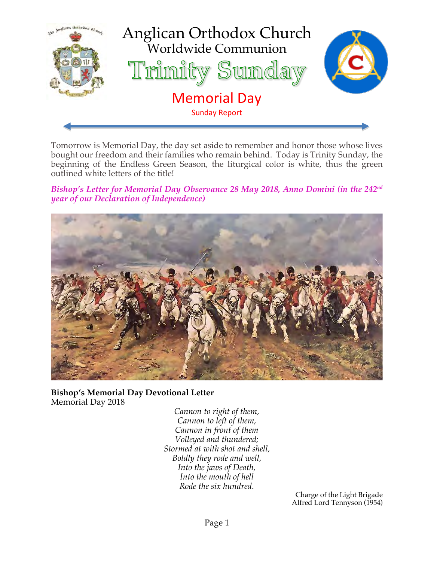

Tomorrow is Memorial Day, the day set aside to remember and honor those whose lives bought our freedom and their families who remain behind. Today is Trinity Sunday, the beginning of the Endless Green Season, the liturgical color is white, thus the green outlined white letters of the title!

*Bishop's Letter for Memorial Day Observance 28 May 2018, Anno Domini (in the 242nd year of our Declaration of Independence)*



**Bishop's Memorial Day Devotional Letter** Memorial Day 2018

> *Cannon to right of them, Cannon to left of them, Cannon in front of them Volleyed and thundered; Stormed at with shot and shell, Boldly they rode and well, Into the jaws of Death, Into the mouth of hell Rode the six hundred*.

Charge of the Light Brigade Alfred Lord Tennyson (1954)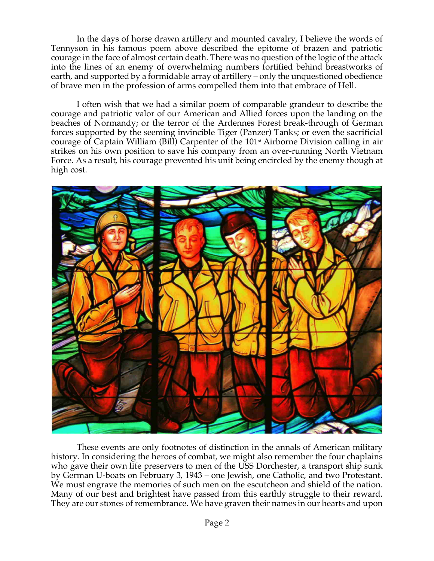In the days of horse drawn artillery and mounted cavalry, I believe the words of Tennyson in his famous poem above described the epitome of brazen and patriotic courage in the face of almost certain death. There was no question of the logic of the attack into the lines of an enemy of overwhelming numbers fortified behind breastworks of earth, and supported by a formidable array of artillery – only the unquestioned obedience of brave men in the profession of arms compelled them into that embrace of Hell.

I often wish that we had a similar poem of comparable grandeur to describe the courage and patriotic valor of our American and Allied forces upon the landing on the beaches of Normandy; or the terror of the Ardennes Forest break-through of German forces supported by the seeming invincible Tiger (Panzer) Tanks; or even the sacrificial courage of Captain William (Bill) Carpenter of the 101st Airborne Division calling in air strikes on his own position to save his company from an over-running North Vietnam Force. As a result, his courage prevented his unit being encircled by the enemy though at high cost.



These events are only footnotes of distinction in the annals of American military history. In considering the heroes of combat, we might also remember the four chaplains who gave their own life preservers to men of the USS Dorchester, a transport ship sunk by German U-boats on February 3, 1943 – one Jewish, one Catholic, and two Protestant. We must engrave the memories of such men on the escutcheon and shield of the nation. Many of our best and brightest have passed from this earthly struggle to their reward. They are our stones of remembrance. We have graven their names in our hearts and upon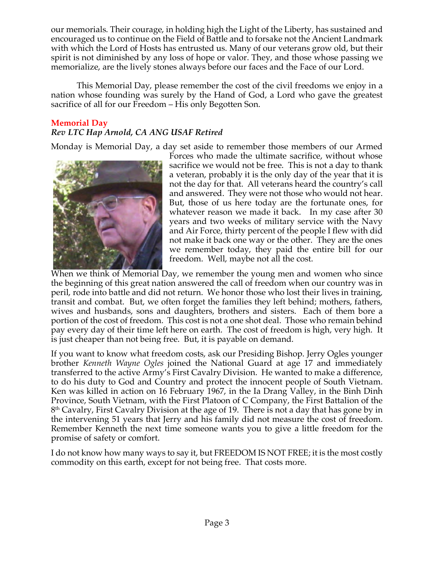our memorials. Their courage, in holding high the Light of the Liberty, has sustained and encouraged us to continue on the Field of Battle and to forsake not the Ancient Landmark with which the Lord of Hosts has entrusted us. Many of our veterans grow old, but their spirit is not diminished by any loss of hope or valor. They, and those whose passing we memorialize, are the lively stones always before our faces and the Face of our Lord.

This Memorial Day, please remember the cost of the civil freedoms we enjoy in a nation whose founding was surely by the Hand of God, a Lord who gave the greatest sacrifice of all for our Freedom – His only Begotten Son.

## **Memorial Day**

## *Rev LTC Hap Arnold, CA ANG USAF Retired*

Monday is Memorial Day, a day set aside to remember those members of our Armed



Forces who made the ultimate sacrifice, without whose sacrifice we would not be free. This is not a day to thank a veteran, probably it is the only day of the year that it is not the day for that. All veterans heard the country's call and answered. They were not those who would not hear. But, those of us here today are the fortunate ones, for whatever reason we made it back. In my case after 30 years and two weeks of military service with the Navy and Air Force, thirty percent of the people I flew with did not make it back one way or the other. They are the ones we remember today, they paid the entire bill for our freedom. Well, maybe not all the cost.

When we think of Memorial Day, we remember the young men and women who since the beginning of this great nation answered the call of freedom when our country was in peril, rode into battle and did not return. We honor those who lost their lives in training, transit and combat. But, we often forget the families they left behind; mothers, fathers, wives and husbands, sons and daughters, brothers and sisters. Each of them bore a portion of the cost of freedom. This cost is not a one shot deal. Those who remain behind pay every day of their time left here on earth. The cost of freedom is high, very high. It is just cheaper than not being free. But, it is payable on demand.

If you want to know what freedom costs, ask our Presiding Bishop. Jerry Ogles younger brother *Kenneth Wayne Ogles* joined the National Guard at age 17 and immediately transferred to the active Army's First Cavalry Division. He wanted to make a difference, to do his duty to God and Country and protect the innocent people of South Vietnam. Ken was killed in action on 16 February 1967, in the Ia Drang Valley, in the Binh Dinh Province, South Vietnam, with the First Platoon of C Company, the First Battalion of the  $8<sup>th</sup>$  Cavalry, First Cavalry Division at the age of 19. There is not a day that has gone by in the intervening 51 years that Jerry and his family did not measure the cost of freedom. Remember Kenneth the next time someone wants you to give a little freedom for the promise of safety or comfort.

I do not know how many ways to say it, but FREEDOM IS NOT FREE; it is the most costly commodity on this earth, except for not being free. That costs more.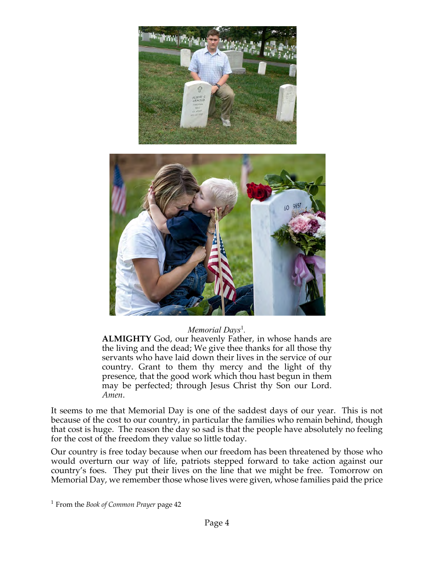



#### *Memorial Days*<sup>1</sup>.

**ALMIGHTY** God, our heavenly Father, in whose hands are the living and the dead; We give thee thanks for all those thy servants who have laid down their lives in the service of our country. Grant to them thy mercy and the light of thy presence, that the good work which thou hast begun in them may be perfected; through Jesus Christ thy Son our Lord. *Amen*.

It seems to me that Memorial Day is one of the saddest days of our year. This is not because of the cost to our country, in particular the families who remain behind, though that cost is huge. The reason the day so sad is that the people have absolutely no feeling for the cost of the freedom they value so little today.

Our country is free today because when our freedom has been threatened by those who would overturn our way of life, patriots stepped forward to take action against our country's foes. They put their lives on the line that we might be free. Tomorrow on Memorial Day, we remember those whose lives were given, whose families paid the price

<sup>1</sup> From the *Book of Common Prayer* page 42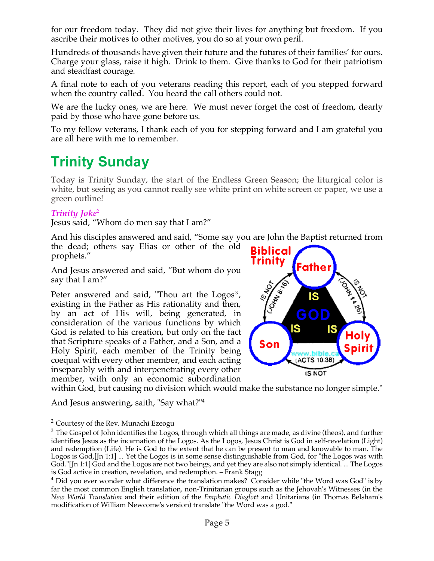for our freedom today. They did not give their lives for anything but freedom. If you ascribe their motives to other motives, you do so at your own peril.

Hundreds of thousands have given their future and the futures of their families' for ours. Charge your glass, raise it high. Drink to them. Give thanks to God for their patriotism and steadfast courage.

A final note to each of you veterans reading this report, each of you stepped forward when the country called. You heard the call others could not.

We are the lucky ones, we are here. We must never forget the cost of freedom, dearly paid by those who have gone before us.

To my fellow veterans, I thank each of you for stepping forward and I am grateful you are all here with me to remember.

# **Trinity Sunday**

Today is Trinity Sunday, the start of the Endless Green Season; the liturgical color is white, but seeing as you cannot really see white print on white screen or paper, we use a green outline!

## *Trinity Joke*<sup>2</sup>

Jesus said, "Whom do men say that I am?"

And his disciples answered and said, "Some say you are John the Baptist returned from the dead; others say Elias or other of the old

prophets."

And Jesus answered and said, "But whom do you say that I am?"

Peter answered and said, "Thou art the  $Logos<sup>3</sup>$ , existing in the Father as His rationality and then, by an act of His will, being generated, in consideration of the various functions by which God is related to his creation, but only on the fact that Scripture speaks of a Father, and a Son, and a Holy Spirit, each member of the Trinity being coequal with every other member, and each acting inseparably with and interpenetrating every other member, with only an economic subordination



within God, but causing no division which would make the substance no longer simple."

And Jesus answering, saith, "Say what?"4

#### <sup>2</sup> Courtesy of the Rev. Munachi Ezeogu

 $3$  The Gospel of John identifies the Logos, through which all things are made, as divine (theos), and further identifies Jesus as the incarnation of the Logos. As the Logos, Jesus Christ is God in self-revelation (Light) and redemption (Life). He is God to the extent that he can be present to man and knowable to man. The Logos is God, [Jn 1:1] ... Yet the Logos is in some sense distinguishable from God, for "the Logos was with God."[Jn 1:1] God and the Logos are not two beings, and yet they are also not simply identical. ... The Logos is God active in creation, revelation, and redemption. – Frank Stagg

<sup>4</sup> Did you ever wonder what difference the translation makes? Consider while "the Word was God" is by far the most common English translation, non-Trinitarian groups such as the Jehovah's Witnesses (in the *New World Translation* and their edition of the *Emphatic Diaglott* and Unitarians (in Thomas Belsham's modification of William Newcome's version) translate "the Word was a god."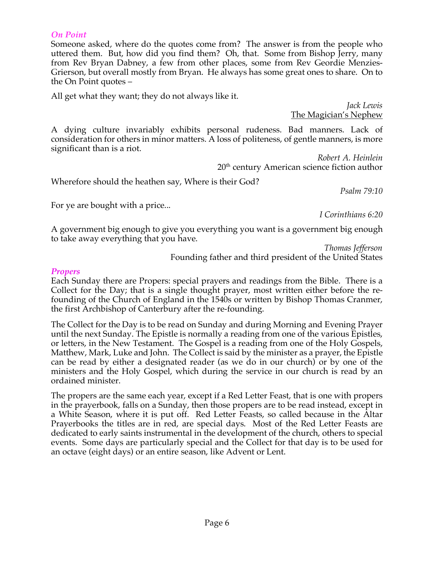#### *On Point*

Someone asked, where do the quotes come from? The answer is from the people who uttered them. But, how did you find them? Oh, that. Some from Bishop Jerry, many from Rev Bryan Dabney, a few from other places, some from Rev Geordie Menzies-Grierson, but overall mostly from Bryan. He always has some great ones to share. On to the On Point quotes –

All get what they want; they do not always like it.

The Magician's Nephew

A dying culture invariably exhibits personal rudeness. Bad manners. Lack of consideration for others in minor matters. A loss of politeness, of gentle manners, is more significant than is a riot.

*Robert A. Heinlein* 20th century American science fiction author

Wherefore should the heathen say, Where is their God?

*Psalm 79:10*

*Jack Lewis*

For ye are bought with a price...

*I Corinthians 6:20*

A government big enough to give you everything you want is a government big enough to take away everything that you have.

*Thomas Jefferson*

Founding father and third president of the United States

## *Propers*

Each Sunday there are Propers: special prayers and readings from the Bible. There is a Collect for the Day; that is a single thought prayer, most written either before the refounding of the Church of England in the 1540s or written by Bishop Thomas Cranmer, the first Archbishop of Canterbury after the re-founding.

The Collect for the Day is to be read on Sunday and during Morning and Evening Prayer until the next Sunday. The Epistle is normally a reading from one of the various Epistles, or letters, in the New Testament. The Gospel is a reading from one of the Holy Gospels, Matthew, Mark, Luke and John. The Collect is said by the minister as a prayer, the Epistle can be read by either a designated reader (as we do in our church) or by one of the ministers and the Holy Gospel, which during the service in our church is read by an ordained minister.

The propers are the same each year, except if a Red Letter Feast, that is one with propers in the prayerbook, falls on a Sunday, then those propers are to be read instead, except in a White Season, where it is put off. Red Letter Feasts, so called because in the Altar Prayerbooks the titles are in red, are special days. Most of the Red Letter Feasts are dedicated to early saints instrumental in the development of the church, others to special events. Some days are particularly special and the Collect for that day is to be used for an octave (eight days) or an entire season, like Advent or Lent.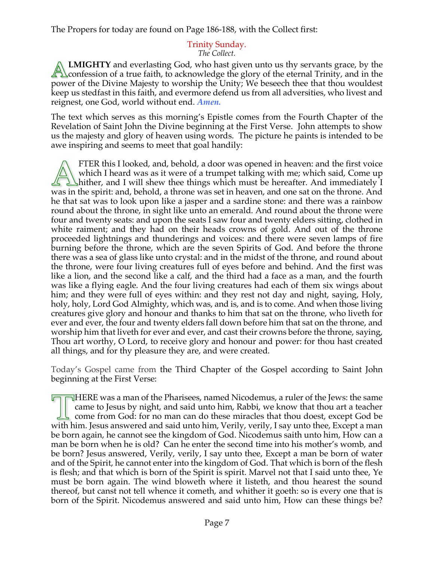The Propers for today are found on Page 186-188, with the Collect first:

# Trinity Sunday.

*The Collect.*

**LMIGHTY** and everlasting God, who hast given unto us thy servants grace, by the  $\Box$  confession of a true faith, to acknowledge the glory of the eternal Trinity, and in the power of the Divine Majesty to worship the Unity; We beseech thee that thou wouldest keep us stedfast in this faith, and evermore defend us from all adversities, who livest and reignest, one God, world without end. *Amen.*

The text which serves as this morning's Epistle comes from the Fourth Chapter of the Revelation of Saint John the Divine beginning at the First Verse. John attempts to show us the majesty and glory of heaven using words. The picture he paints is intended to be awe inspiring and seems to meet that goal handily:

FTER this I looked, and, behold, a door was opened in heaven: and the first voice which I heard was as it were of a trumpet talking with me; which said, Come up **L**hither, and I will shew thee things which must be hereafter. And immediately I was in the spirit: and, behold, a throne was set in heaven, and one sat on the throne. And he that sat was to look upon like a jasper and a sardine stone: and there was a rainbow round about the throne, in sight like unto an emerald. And round about the throne were four and twenty seats: and upon the seats I saw four and twenty elders sitting, clothed in white raiment; and they had on their heads crowns of gold. And out of the throne proceeded lightnings and thunderings and voices: and there were seven lamps of fire burning before the throne, which are the seven Spirits of God. And before the throne there was a sea of glass like unto crystal: and in the midst of the throne, and round about the throne, were four living creatures full of eyes before and behind. And the first was like a lion, and the second like a calf, and the third had a face as a man, and the fourth was like a flying eagle. And the four living creatures had each of them six wings about him; and they were full of eyes within: and they rest not day and night, saying, Holy, holy, holy, Lord God Almighty, which was, and is, and is to come. And when those living creatures give glory and honour and thanks to him that sat on the throne, who liveth for ever and ever, the four and twenty elders fall down before him that sat on the throne, and worship him that liveth for ever and ever, and cast their crowns before the throne, saying, Thou art worthy, O Lord, to receive glory and honour and power: for thou hast created all things, and for thy pleasure they are, and were created.

Today's Gospel came from the Third Chapter of the Gospel according to Saint John beginning at the First Verse:

 $\Box$  HERE was a man of the Pharisees, named Nicodemus, a ruler of the Jews: the same came to Jesus by night, and said unto him, Rabbi, we know that thou art a teacher come from God: for no man can do these miracles that thou doest, except God be with him. Jesus answered and said unto him, Verily, verily, I say unto thee, Except a man be born again, he cannot see the kingdom of God. Nicodemus saith unto him, How can a man be born when he is old? Can he enter the second time into his mother's womb, and be born? Jesus answered, Verily, verily, I say unto thee, Except a man be born of water and of the Spirit, he cannot enter into the kingdom of God. That which is born of the flesh is flesh; and that which is born of the Spirit is spirit. Marvel not that I said unto thee, Ye must be born again. The wind bloweth where it listeth, and thou hearest the sound thereof, but canst not tell whence it cometh, and whither it goeth: so is every one that is born of the Spirit. Nicodemus answered and said unto him, How can these things be?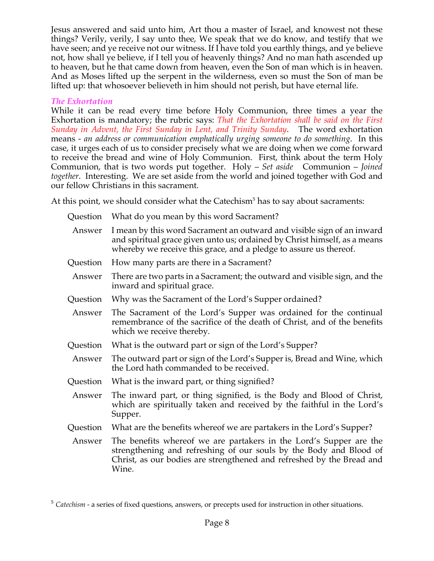Jesus answered and said unto him, Art thou a master of Israel, and knowest not these things? Verily, verily, I say unto thee, We speak that we do know, and testify that we have seen; and ye receive not our witness. If I have told you earthly things, and ye believe not, how shall ye believe, if I tell you of heavenly things? And no man hath ascended up to heaven, but he that came down from heaven, even the Son of man which is in heaven. And as Moses lifted up the serpent in the wilderness, even so must the Son of man be lifted up: that whosoever believeth in him should not perish, but have eternal life.

#### *The Exhortation*

While it can be read every time before Holy Communion, three times a year the Exhortation is mandatory; the rubric says: *That the Exhortation shall be said on the First Sunday in Advent, the First Sunday in Lent, and Trinity Sunday*. The word exhortation means - *an address or communication emphatically urging someone to do something*. In this case, it urges each of us to consider precisely what we are doing when we come forward to receive the bread and wine of Holy Communion. First, think about the term Holy Communion, that is two words put together. Holy – *Set aside* Communion – *Joined together*. Interesting. We are set aside from the world and joined together with God and our fellow Christians in this sacrament.

At this point, we should consider what the Catechism<sup>5</sup> has to say about sacraments:

| Question | What do you mean by this word Sacrament?                                                                                                                                                                                   |
|----------|----------------------------------------------------------------------------------------------------------------------------------------------------------------------------------------------------------------------------|
| Answer   | I mean by this word Sacrament an outward and visible sign of an inward<br>and spiritual grace given unto us; ordained by Christ himself, as a means<br>whereby we receive this grace, and a pledge to assure us thereof.   |
| Question | How many parts are there in a Sacrament?                                                                                                                                                                                   |
| Answer   | There are two parts in a Sacrament; the outward and visible sign, and the<br>inward and spiritual grace.                                                                                                                   |
| Question | Why was the Sacrament of the Lord's Supper ordained?                                                                                                                                                                       |
| Answer   | The Sacrament of the Lord's Supper was ordained for the continual<br>remembrance of the sacrifice of the death of Christ, and of the benefits<br>which we receive thereby.                                                 |
| Question | What is the outward part or sign of the Lord's Supper?                                                                                                                                                                     |
| Answer   | The outward part or sign of the Lord's Supper is, Bread and Wine, which<br>the Lord hath commanded to be received.                                                                                                         |
| Question | What is the inward part, or thing signified?                                                                                                                                                                               |
| Answer   | The inward part, or thing signified, is the Body and Blood of Christ,<br>which are spiritually taken and received by the faithful in the Lord's<br>Supper.                                                                 |
| Question | What are the benefits whereof we are partakers in the Lord's Supper?                                                                                                                                                       |
| Answer   | The benefits whereof we are partakers in the Lord's Supper are the<br>strengthening and refreshing of our souls by the Body and Blood of<br>Christ, as our bodies are strengthened and refreshed by the Bread and<br>Wine. |

<sup>5</sup> *Catechism* - a series of fixed questions, answers, or precepts used for instruction in other situations.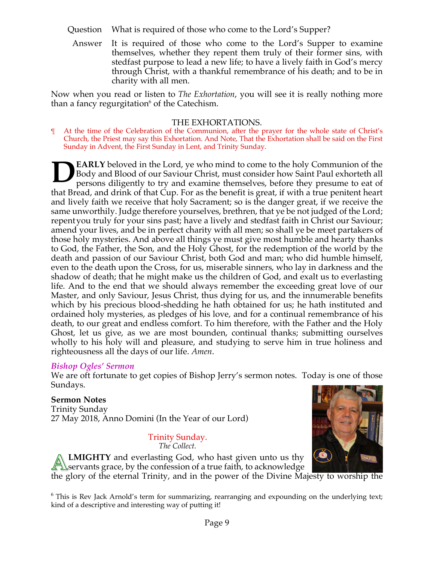- Question What is required of those who come to the Lord's Supper?
	- Answer It is required of those who come to the Lord's Supper to examine themselves, whether they repent them truly of their former sins, with stedfast purpose to lead a new life; to have a lively faith in God's mercy through Christ, with a thankful remembrance of his death; and to be in charity with all men.

Now when you read or listen to *The Exhortation*, you will see it is really nothing more than a fancy regurgitation $6$  of the Catechism.

## THE EXHORTATIONS.

At the time of the Celebration of the Communion, after the prayer for the whole state of Christ's Church, the Priest may say this Exhortation. And Note, That the Exhortation shall be said on the First Sunday in Advent, the First Sunday in Lent, and Trinity Sunday.

**EARLY** beloved in the Lord, ye who mind to come to the holy Communion of the Body and Blood of our Saviour Christ, must consider how Saint Paul exhorteth all persons diligently to try and examine themselves, before they presume to eat of that Bread, and drink of that Cup. For as the benefit is great, if with a true penitent heart and lively faith we receive that holy Sacrament; so is the danger great, if we receive the same unworthily. Judge therefore yourselves, brethren, that ye be not judged of the Lord; repentyou truly for your sins past; have a lively and stedfast faith in Christ our Saviour; amend your lives, and be in perfect charity with all men; so shall ye be meet partakers of those holy mysteries. And above all things ye must give most humble and hearty thanks to God, the Father, the Son, and the Holy Ghost, for the redemption of the world by the death and passion of our Saviour Christ, both God and man; who did humble himself, even to the death upon the Cross, for us, miserable sinners, who lay in darkness and the shadow of death; that he might make us the children of God, and exalt us to everlasting life. And to the end that we should always remember the exceeding great love of our Master, and only Saviour, Jesus Christ, thus dying for us, and the innumerable benefits which by his precious blood-shedding he hath obtained for us; he hath instituted and ordained holy mysteries, as pledges of his love, and for a continual remembrance of his death, to our great and endless comfort. To him therefore, with the Father and the Holy Ghost, let us give, as we are most bounden, continual thanks; submitting ourselves wholly to his holy will and pleasure, and studying to serve him in true holiness and righteousness all the days of our life. *Amen*. **D**

#### *Bishop Ogles' Sermon*

We are oft fortunate to get copies of Bishop Jerry's sermon notes. Today is one of those Sundays.

#### **Sermon Notes**

Trinity Sunday 27 May 2018, Anno Domini (In the Year of our Lord)

# Trinity Sunday.

*The Collect.*

**LMIGHTY** and everlasting God, who hast given unto us thy servants grace, by the confession of a true faith, to acknowledge



the glory of the eternal Trinity, and in the power of the Divine Majesty to worship the

<sup>6</sup> This is Rev Jack Arnold's term for summarizing, rearranging and expounding on the underlying text; kind of a descriptive and interesting way of putting it!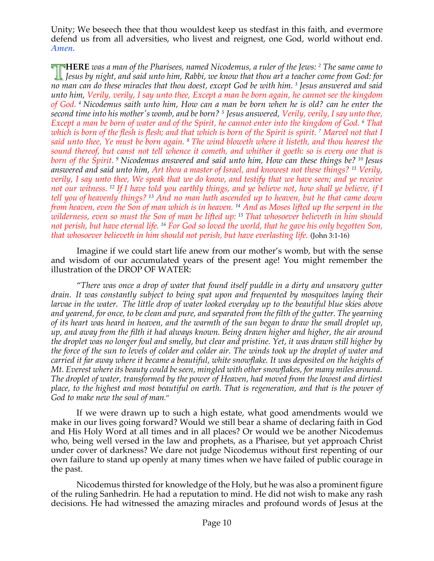Unity; We beseech thee that thou wouldest keep us stedfast in this faith, and evermore defend us from all adversities, who livest and reignest, one God, world without end. *Amen.*

**HERE** *was a man of the Pharisees, named Nicodemus, a ruler of the Jews: <sup>2</sup> The same came to Jesus by night, and said unto him, Rabbi, we know that thou art a teacher come from God: for no man can do these miracles that thou doest, except God be with him. <sup>3</sup> Jesus answered and said unto him, Verily, verily, I say unto thee, Except a man be born again, he cannot see the kingdom of God. <sup>4</sup> Nicodemus saith unto him, How can a man be born when he is old? can he enter the second time into his mother's womb, and be born? <sup>5</sup> Jesus answered, Verily, verily, I say unto thee, Except a man be born of water and of the Spirit, he cannot enter into the kingdom of God. <sup>6</sup> That which is born of the flesh is flesh; and that which is born of the Spirit is spirit. <sup>7</sup> Marvel not that I said unto thee, Ye must be born again. <sup>8</sup> The wind bloweth where it listeth, and thou hearest the sound thereof, but canst not tell whence it cometh, and whither it goeth: so is every one that is born of the Spirit. <sup>9</sup> Nicodemus answered and said unto him, How can these things be? <sup>10</sup> Jesus answered and said unto him, Art thou a master of Israel, and knowest not these things? <sup>11</sup> Verily, verily, I say unto thee, We speak that we do know, and testify that we have seen; and ye receive not our witness. <sup>12</sup> If I have told you earthly things, and ye believe not, how shall ye believe, if I tell you of heavenly things? <sup>13</sup> And no man hath ascended up to heaven, but he that came down from heaven, even the Son of man which is in heaven. <sup>14</sup> And as Moses lifted up the serpent in the wilderness, even so must the Son of man be lifted up: <sup>15</sup> That whosoever believeth in him should not perish, but have eternal life. <sup>16</sup> For God so loved the world, that he gave his only begotten Son, that whosoever believeth in him should not perish, but have everlasting life.* (John 3:1-16)

Imagine if we could start life anew from our mother's womb, but with the sense and wisdom of our accumulated years of the present age! You might remember the illustration of the DROP OF WATER:

"*There was once a drop of water that found itself puddle in a dirty and unsavory gutter drain. It was constantly subject to being spat upon and frequented by mosquitoes laying their larvae in the water. The little drop of water looked everyday up to the beautiful blue skies above and yearend, for once, to be clean and pure, and separated from the filth of the gutter. The yearning of its heart was heard in heaven, and the warmth of the sun began to draw the small droplet up, up, and away from the filth it had always known. Being drawn higher and higher, the air around the droplet was no longer foul and smelly, but clear and pristine. Yet, it was drawn still higher by the force of the sun to levels of colder and colder air. The winds took up the droplet of water and carried it far away where it became a beautiful, white snowflake. It was deposited on the heights of Mt. Everest where its beauty could be seen, mingled with other snowflakes, for many miles around. The droplet of water, transformed by the power of Heaven, had moved from the lowest and dirtiest place, to the highest and most beautiful on earth. That is regeneration, and that is the power of God to make new the soul of man*."

If we were drawn up to such a high estate, what good amendments would we make in our lives going forward? Would we still bear a shame of declaring faith in God and His Holy Word at all times and in all places? Or would we be another Nicodemus who, being well versed in the law and prophets, as a Pharisee, but yet approach Christ under cover of darkness? We dare not judge Nicodemus without first repenting of our own failure to stand up openly at many times when we have failed of public courage in the past.

Nicodemus thirsted for knowledge of the Holy, but he was also a prominent figure of the ruling Sanhedrin. He had a reputation to mind. He did not wish to make any rash decisions. He had witnessed the amazing miracles and profound words of Jesus at the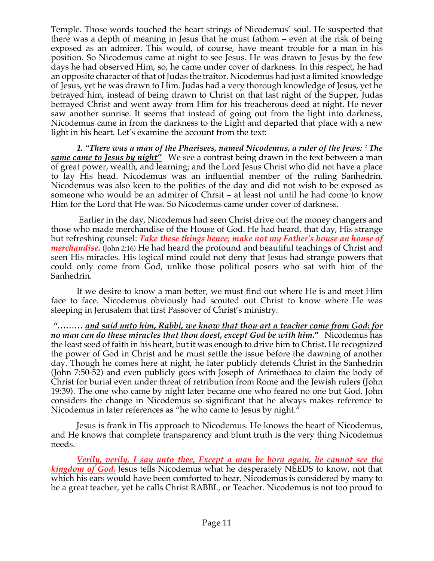Temple. Those words touched the heart strings of Nicodemus' soul. He suspected that there was a depth of meaning in Jesus that he must fathom – even at the risk of being exposed as an admirer. This would, of course, have meant trouble for a man in his position. So Nicodemus came at night to see Jesus. He was drawn to Jesus by the few days he had observed Him, so, he came under cover of darkness. In this respect, he had an opposite character of that of Judas the traitor. Nicodemus had just a limited knowledge of Jesus, yet he was drawn to Him. Judas had a very thorough knowledge of Jesus, yet he betrayed him, instead of being drawn to Christ on that last night of the Supper, Judas betrayed Christ and went away from Him for his treacherous deed at night. He never saw another sunrise. It seems that instead of going out from the light into darkness, Nicodemus came in from the darkness to the Light and departed that place with a new light in his heart. Let's examine the account from the text:

*1. "There was a man of the Pharisees, named Nicodemus, a ruler of the Jews: <sup>2</sup> The same came to Jesus by night"* We see a contrast being drawn in the text between a man of great power, wealth, and learning; and the Lord Jesus Christ who did not have a place to lay His head. Nicodemus was an influential member of the ruling Sanhedrin. Nicodemus was also keen to the politics of the day and did not wish to be exposed as someone who would be an admirer of Chrsit – at least not until he had come to know Him for the Lord that He was. So Nicodemus came under cover of darkness.

Earlier in the day, Nicodemus had seen Christ drive out the money changers and those who made merchandise of the House of God. He had heard, that day, His strange but refreshing counsel: *Take these things hence; make not my Father's house an house of merchandise.* (John 2:16) He had heard the profound and beautiful teachings of Christ and seen His miracles. His logical mind could not deny that Jesus had strange powers that could only come from God, unlike those political posers who sat with him of the Sanhedrin.

If we desire to know a man better, we must find out where He is and meet Him face to face. Nicodemus obviously had scouted out Christ to know where He was sleeping in Jerusalem that first Passover of Christ's ministry.

*"……… and said unto him, Rabbi, we know that thou art a teacher come from God: for no man can do these miracles that thou doest, except God be with him***."** Nicodemus has the least seed of faith in his heart, but it was enough to drive him to Christ. He recognized the power of God in Christ and he must settle the issue before the dawning of another day. Though he comes here at night, he later publicly defends Christ in the Sanhedrin (John 7:50-52) and even publicly goes with Joseph of Arimethaea to claim the body of Christ for burial even under threat of retribution from Rome and the Jewish rulers (John 19:39). The one who came by night later became one who feared no one but God. John considers the change in Nicodemus so significant that he always makes reference to Nicodemus in later references as "he who came to Jesus by night."

Jesus is frank in His approach to Nicodemus. He knows the heart of Nicodemus, and He knows that complete transparency and blunt truth is the very thing Nicodemus needs.

*Verily, verily, I say unto thee, Except a man be born again, he cannot see the kingdom of God.* Jesus tells Nicodemus what he desperately NEEDS to know, not that which his ears would have been comforted to hear. Nicodemus is considered by many to be a great teacher, yet he calls Christ RABBI., or Teacher. Nicodemus is not too proud to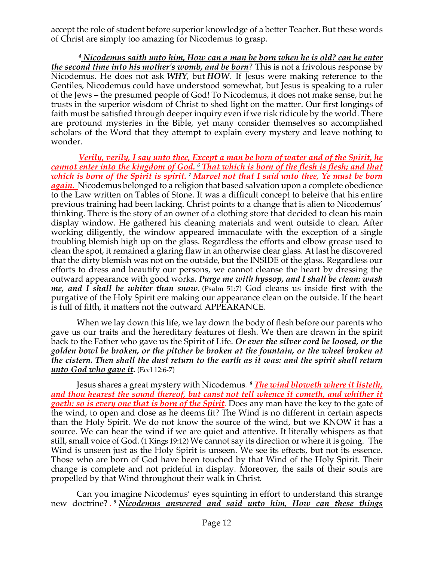accept the role of student before superior knowledge of a better Teacher. But these words of Christ are simply too amazing for Nicodemus to grasp.

*<sup>4</sup> Nicodemus saith unto him, How can a man be born when he is old? can he enter the second time into his mother's womb, and be born?* This is not a frivolous response by Nicodemus. He does not ask *WHY*, but *HOW*. If Jesus were making reference to the Gentiles, Nicodemus could have understood somewhat, but Jesus is speaking to a ruler of the Jews – the presumed people of God! To Nicodemus, it does not make sense, but he trusts in the superior wisdom of Christ to shed light on the matter. Our first longings of faith must be satisfied through deeper inquiry even if we risk ridicule by the world. There are profound mysteries in the Bible, yet many consider themselves so accomplished scholars of the Word that they attempt to explain every mystery and leave nothing to wonder.

*Verily, verily, I say unto thee, Except a man be born of water and of the Spirit, he cannot enter into the kingdom of God. <sup>6</sup> That which is born of the flesh is flesh; and that which is born of the Spirit is spirit. <sup>7</sup> Marvel not that I said unto thee, Ye must be born again.* Nicodemus belonged to a religion that based salvation upon a complete obedience to the Law written on Tables of Stone. It was a difficult concept to beleive that his entire previous training had been lacking. Christ points to a change that is alien to Nicodemus' thinking. There is the story of an owner of a clothing store that decided to clean his main display window. He gathered his cleaning materials and went outside to clean. After working diligently, the window appeared immaculate with the exception of a single troubling blemish high up on the glass. Regardless the efforts and elbow grease used to clean the spot, it remained a glaring flaw in an otherwise clear glass. At last he discovered that the dirty blemish was not on the outside, but the INSIDE of the glass. Regardless our efforts to dress and beautify our persons, we cannot cleanse the heart by dressing the outward appearance with good works. *Purge me with hyssop, and I shall be clean: wash me, and I shall be whiter than snow.* (Psalm 51:7) God cleans us inside first with the purgative of the Holy Spirit ere making our appearance clean on the outside. If the heart is full of filth, it matters not the outward APPEARANCE.

When we lay down this life, we lay down the body of flesh before our parents who gave us our traits and the hereditary features of flesh. We then are drawn in the spirit back to the Father who gave us the Spirit of Life. *Or ever the silver cord be loosed, or the golden bowl be broken, or the pitcher be broken at the fountain, or the wheel broken at the cistern. Then shall the dust return to the earth as it was: and the spirit shall return unto God who gave it.* (Eccl 12:6-7)

Jesus shares a great mystery with Nicodemus*. <sup>8</sup> The wind bloweth where it listeth, and thou hearest the sound thereof, but canst not tell whence it cometh, and whither it goeth: so is every one that is born of the Spirit.* Does any man have the key to the gate of the wind, to open and close as he deems fit? The Wind is no different in certain aspects than the Holy Spirit. We do not know the source of the wind, but we KNOW it has a source. We can hear the wind if we are quiet and attentive. It literally whispers as that still, small voice of God. (1 Kings 19:12) We cannot say its direction or where it is going. The Wind is unseen just as the Holy Spirit is unseen. We see its effects, but not its essence. Those who are born of God have been touched by that Wind of the Holy Spirit. Their change is complete and not prideful in display. Moreover, the sails of their souls are propelled by that Wind throughout their walk in Christ.

Can you imagine Nicodemus' eyes squinting in effort to understand this strange new doctrine? *. <sup>9</sup> Nicodemus answered and said unto him, How can these things*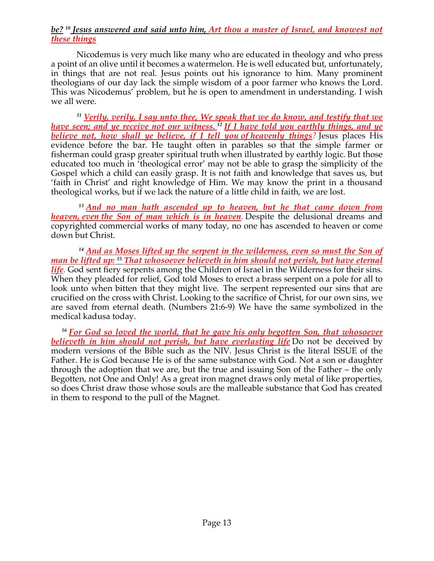## *be? <sup>10</sup> Jesus answered and said unto him, Art thou a master of Israel, and knowest not these things*

Nicodemus is very much like many who are educated in theology and who press a point of an olive until it becomes a watermelon. He is well educated but, unfortunately, in things that are not real. Jesus points out his ignorance to him. Many prominent theologians of our day lack the simple wisdom of a poor farmer who knows the Lord. This was Nicodemus' problem, but he is open to amendment in understanding. I wish we all were.

*<sup>11</sup> Verily, verily, I say unto thee, We speak that we do know, and testify that we have seen; and ye receive not our witness. <sup>12</sup> If I have told you earthly things, and ye believe not, how shall ye believe, if I tell you of heavenly things?* Jesus places His evidence before the bar. He taught often in parables so that the simple farmer or fisherman could grasp greater spiritual truth when illustrated by earthly logic. But those educated too much in 'theological error' may not be able to grasp the simplicity of the Gospel which a child can easily grasp. It is not faith and knowledge that saves us, but 'faith in Christ' and right knowledge of Him. We may know the print in a thousand theological works, but if we lack the nature of a little child in faith, we are lost.

*<sup>13</sup> And no man hath ascended up to heaven, but he that came down from heaven, even the Son of man which is in heaven.* Despite the delusional dreams and copyrighted commercial works of many today, no one has ascended to heaven or come down but Christ.

*<sup>14</sup> And as Moses lifted up the serpent in the wilderness, even so must the Son of man be lifted up: <sup>15</sup> That whosoever believeth in him should not perish, but have eternal life.* God sent fiery serpents among the Children of Israel in the Wilderness for their sins. When they pleaded for relief, God told Moses to erect a brass serpent on a pole for all to look unto when bitten that they might live. The serpent represented our sins that are crucified on the cross with Christ. Looking to the sacrifice of Christ, for our own sins, we are saved from eternal death. (Numbers 21:6-9) We have the same symbolized in the medical kadusa today.

<sup>16</sup> For God so loved the world, that he gave his only begotten Son, that whosoever *believeth in him should not perish, but have everlasting life* Do not be deceived by modern versions of the Bible such as the NIV. Jesus Christ is the literal ISSUE of the Father. He is God because He is of the same substance with God. Not a son or daughter through the adoption that we are, but the true and issuing Son of the Father – the only Begotten, not One and Only! As a great iron magnet draws only metal of like properties, so does Christ draw those whose souls are the malleable substance that God has created in them to respond to the pull of the Magnet.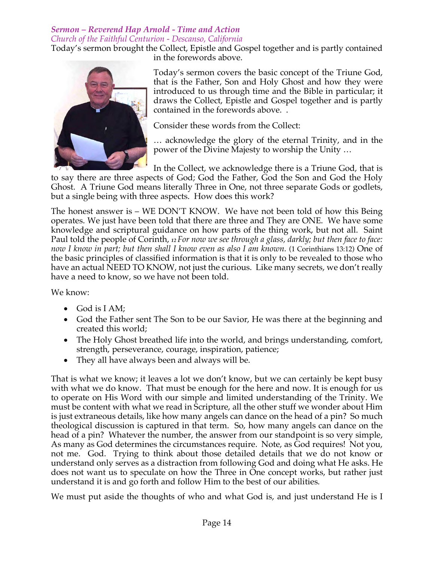# *Sermon – Reverend Hap Arnold - Time and Action Church of the Faithful Centurion - Descanso, California*

Today's sermon brought the Collect, Epistle and Gospel together and is partly contained in the forewords above.



Today's sermon covers the basic concept of the Triune God, that is the Father, Son and Holy Ghost and how they were introduced to us through time and the Bible in particular; it draws the Collect, Epistle and Gospel together and is partly contained in the forewords above. .

Consider these words from the Collect:

… acknowledge the glory of the eternal Trinity, and in the power of the Divine Majesty to worship the Unity …

In the Collect, we acknowledge there is a Triune God, that is to say there are three aspects of God; God the Father, God the Son and God the Holy

Ghost. A Triune God means literally Three in One, not three separate Gods or godlets, but a single being with three aspects. How does this work?

The honest answer is – WE DON'T KNOW. We have not been told of how this Being operates. We just have been told that there are three and They are ONE. We have some knowledge and scriptural guidance on how parts of the thing work, but not all. Saint Paul told the people of Corinth, *<sup>12</sup> For now we see through a glass, darkly; but then face to face:*  now I know in part; but then shall I know even as also I am known. (1 Corinthians 13:12) One of the basic principles of classified information is that it is only to be revealed to those who have an actual NEED TO KNOW, not just the curious. Like many secrets, we don't really have a need to know, so we have not been told.

We know:

- God is I AM;
- God the Father sent The Son to be our Savior, He was there at the beginning and created this world;
- The Holy Ghost breathed life into the world, and brings understanding, comfort, strength, perseverance, courage, inspiration, patience;
- They all have always been and always will be.

That is what we know; it leaves a lot we don't know, but we can certainly be kept busy with what we do know. That must be enough for the here and now. It is enough for us to operate on His Word with our simple and limited understanding of the Trinity. We must be content with what we read in Scripture, all the other stuff we wonder about Him is just extraneous details, like how many angels can dance on the head of a pin? So much theological discussion is captured in that term. So, how many angels can dance on the head of a pin? Whatever the number, the answer from our standpoint is so very simple, As many as God determines the circumstances require. Note, as God requires! Not you, not me. God. Trying to think about those detailed details that we do not know or understand only serves as a distraction from following God and doing what He asks. He does not want us to speculate on how the Three in One concept works, but rather just understand it is and go forth and follow Him to the best of our abilities.

We must put aside the thoughts of who and what God is, and just understand He is I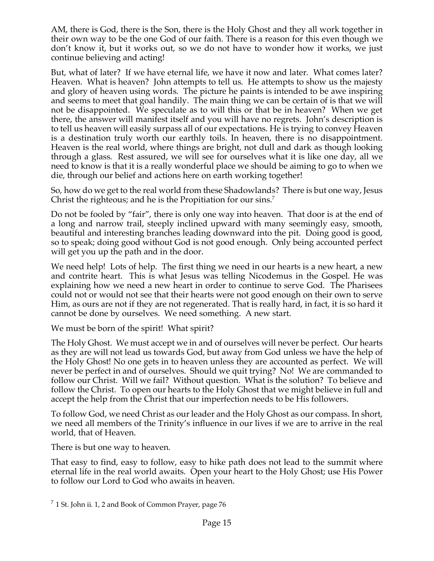AM, there is God, there is the Son, there is the Holy Ghost and they all work together in their own way to be the one God of our faith. There is a reason for this even though we don't know it, but it works out, so we do not have to wonder how it works, we just continue believing and acting!

But, what of later? If we have eternal life, we have it now and later. What comes later? Heaven. What is heaven? John attempts to tell us. He attempts to show us the majesty and glory of heaven using words. The picture he paints is intended to be awe inspiring and seems to meet that goal handily. The main thing we can be certain of is that we will not be disappointed. We speculate as to will this or that be in heaven? When we get there, the answer will manifest itself and you will have no regrets. John's description is to tell us heaven will easily surpass all of our expectations. He is trying to convey Heaven is a destination truly worth our earthly toils. In heaven, there is no disappointment. Heaven is the real world, where things are bright, not dull and dark as though looking through a glass. Rest assured, we will see for ourselves what it is like one day, all we need to know is that it is a really wonderful place we should be aiming to go to when we die, through our belief and actions here on earth working together!

So, how do we get to the real world from these Shadowlands? There is but one way, Jesus Christ the righteous; and he is the Propitiation for our sins.<sup>7</sup>

Do not be fooled by "fair", there is only one way into heaven. That door is at the end of a long and narrow trail, steeply inclined upward with many seemingly easy, smooth, beautiful and interesting branches leading downward into the pit. Doing good is good, so to speak; doing good without God is not good enough. Only being accounted perfect will get you up the path and in the door.

We need help! Lots of help. The first thing we need in our hearts is a new heart, a new and contrite heart. This is what Jesus was telling Nicodemus in the Gospel. He was explaining how we need a new heart in order to continue to serve God. The Pharisees could not or would not see that their hearts were not good enough on their own to serve Him, as ours are not if they are not regenerated. That is really hard, in fact, it is so hard it cannot be done by ourselves. We need something. A new start.

We must be born of the spirit! What spirit?

The Holy Ghost. We must accept we in and of ourselves will never be perfect. Our hearts as they are will not lead us towards God, but away from God unless we have the help of the Holy Ghost! No one gets in to heaven unless they are accounted as perfect. We will never be perfect in and of ourselves. Should we quit trying? No! We are commanded to follow our Christ. Will we fail? Without question. What is the solution? To believe and follow the Christ. To open our hearts to the Holy Ghost that we might believe in full and accept the help from the Christ that our imperfection needs to be His followers.

To follow God, we need Christ as our leader and the Holy Ghost as our compass. In short, we need all members of the Trinity's influence in our lives if we are to arrive in the real world, that of Heaven.

There is but one way to heaven.

That easy to find, easy to follow, easy to hike path does not lead to the summit where eternal life in the real world awaits. Open your heart to the Holy Ghost; use His Power to follow our Lord to God who awaits in heaven.

 $\frac{7}{1}$  St. John ii. 1, 2 and Book of Common Prayer, page 76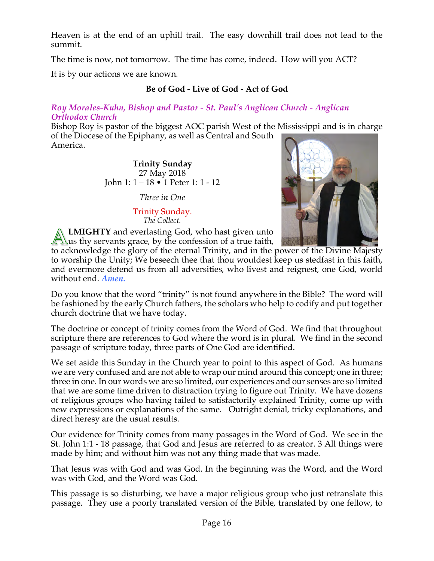Heaven is at the end of an uphill trail. The easy downhill trail does not lead to the summit.

The time is now, not tomorrow. The time has come, indeed. How will you ACT?

It is by our actions we are known.

# **Be of God - Live of God - Act of God**

#### *Roy Morales-Kuhn, Bishop and Pastor - St. Paul's Anglican Church - Anglican Orthodox Church*

Bishop Roy is pastor of the biggest AOC parish West of the Mississippi and is in charge of the Diocese of the Epiphany, as well as Central and South America.

> **Trinity Sunday** 27 May 2018 John 1: 1 – 18 • 1 Peter 1: 1 - 12

> > *Three in One*

#### Trinity Sunday. *The Collect.*



**LMIGHTY** and everlasting God, who hast given unto  $\Box$ us thy servants grace, by the confession of a true faith,

to acknowledge the glory of the eternal Trinity, and in the power of the Divine Majesty to worship the Unity; We beseech thee that thou wouldest keep us stedfast in this faith, and evermore defend us from all adversities, who livest and reignest, one God, world without end. *Amen.*

Do you know that the word "trinity" is not found anywhere in the Bible? The word will be fashioned by the early Church fathers, the scholars who help to codify and put together church doctrine that we have today.

The doctrine or concept of trinity comes from the Word of God. We find that throughout scripture there are references to God where the word is in plural. We find in the second passage of scripture today, three parts of One God are identified.

We set aside this Sunday in the Church year to point to this aspect of God. As humans we are very confused and are not able to wrap our mind around this concept; one in three; three in one. In our words we are so limited, our experiences and our senses are so limited that we are some time driven to distraction trying to figure out Trinity. We have dozens of religious groups who having failed to satisfactorily explained Trinity, come up with new expressions or explanations of the same. Outright denial, tricky explanations, and direct heresy are the usual results.

Our evidence for Trinity comes from many passages in the Word of God. We see in the St. John 1:1 - 18 passage, that God and Jesus are referred to as creator. 3 All things were made by him; and without him was not any thing made that was made.

That Jesus was with God and was God. In the beginning was the Word, and the Word was with God, and the Word was God.

This passage is so disturbing, we have a major religious group who just retranslate this passage. They use a poorly translated version of the Bible, translated by one fellow, to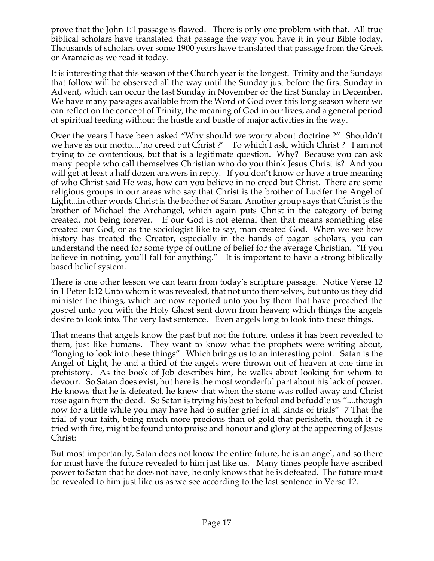prove that the John 1:1 passage is flawed. There is only one problem with that. All true biblical scholars have translated that passage the way you have it in your Bible today. Thousands of scholars over some 1900 years have translated that passage from the Greek or Aramaic as we read it today.

It is interesting that this season of the Church year is the longest. Trinity and the Sundays that follow will be observed all the way until the Sunday just before the first Sunday in Advent, which can occur the last Sunday in November or the first Sunday in December. We have many passages available from the Word of God over this long season where we can reflect on the concept of Trinity, the meaning of God in our lives, and a general period of spiritual feeding without the hustle and bustle of major activities in the way.

Over the years I have been asked "Why should we worry about doctrine ?" Shouldn't we have as our motto....'no creed but Christ ?' To which I ask, which Christ ? I am not trying to be contentious, but that is a legitimate question. Why? Because you can ask many people who call themselves Christian who do you think Jesus Christ is? And you will get at least a half dozen answers in reply. If you don't know or have a true meaning of who Christ said He was, how can you believe in no creed but Christ. There are some religious groups in our areas who say that Christ is the brother of Lucifer the Angel of Light...in other words Christ is the brother of Satan. Another group says that Christ is the brother of Michael the Archangel, which again puts Christ in the category of being created, not being forever. If our God is not eternal then that means something else created our God, or as the sociologist like to say, man created God. When we see how history has treated the Creator, especially in the hands of pagan scholars, you can understand the need for some type of outline of belief for the average Christian. "If you believe in nothing, you'll fall for anything." It is important to have a strong biblically based belief system.

There is one other lesson we can learn from today's scripture passage. Notice Verse 12 in 1 Peter 1:12 Unto whom it was revealed, that not unto themselves, but unto us they did minister the things, which are now reported unto you by them that have preached the gospel unto you with the Holy Ghost sent down from heaven; which things the angels desire to look into. The very last sentence. Even angels long to look into these things.

That means that angels know the past but not the future, unless it has been revealed to them, just like humans. They want to know what the prophets were writing about, "longing to look into these things" Which brings us to an interesting point. Satan is the Angel of Light, he and a third of the angels were thrown out of heaven at one time in prehistory. As the book of Job describes him, he walks about looking for whom to devour. So Satan does exist, but here is the most wonderful part about his lack of power. He knows that he is defeated, he knew that when the stone was rolled away and Christ rose again from the dead. So Satan is trying his best to befoul and befuddle us "....though now for a little while you may have had to suffer grief in all kinds of trials" 7 That the trial of your faith, being much more precious than of gold that perisheth, though it be tried with fire, might be found unto praise and honour and glory at the appearing of Jesus Christ:

But most importantly, Satan does not know the entire future, he is an angel, and so there for must have the future revealed to him just like us. Many times people have ascribed power to Satan that he does not have, he only knows that he is defeated. The future must be revealed to him just like us as we see according to the last sentence in Verse 12.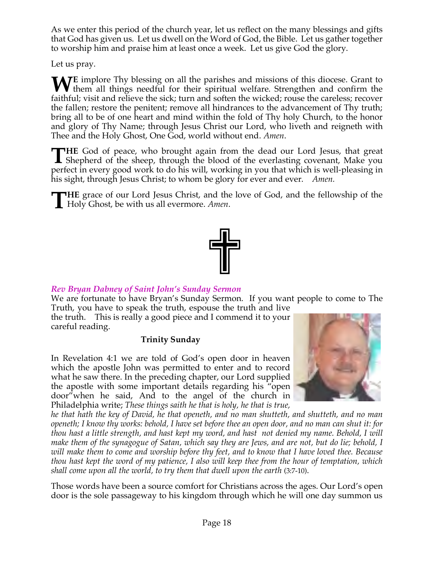As we enter this period of the church year, let us reflect on the many blessings and gifts that God has given us. Let us dwell on the Word of God, the Bible. Let us gather together to worship him and praise him at least once a week. Let us give God the glory.

Let us pray.

**WE** implore Thy blessing on all the parishes and missions of this diocese. Grant to them all things needful for their spiritual welfare. Strengthen and confirm the still of the initial velocity of the still of the still o them all things needful for their spiritual welfare. Strengthen and confirm the faithful; visit and relieve the sick; turn and soften the wicked; rouse the careless; recover the fallen; restore the penitent; remove all hindrances to the advancement of Thy truth; bring all to be of one heart and mind within the fold of Thy holy Church, to the honor and glory of Thy Name; through Jesus Christ our Lord, who liveth and reigneth with Thee and the Holy Ghost, One God, world without end. *Amen*.

**HE** God of peace, who brought again from the dead our Lord Jesus, that great THE God of peace, who brought again from the dead our Lord Jesus, that great Shepherd of the sheep, through the blood of the everlasting covenant, Make you perfect in every good work to do his will, working in you that which is well-pleasing in his sight, through Jesus Christ; to whom be glory for ever and ever. *Amen.*

**HE** grace of our Lord Jesus Christ, and the love of God, and the fellowship of the **THE** grace of our Lord Jesus Christ, and the Holy Ghost, be with us all evermore. *Amen*.



# *Rev Bryan Dabney of Saint John's Sunday Sermon*

We are fortunate to have Bryan's Sunday Sermon. If you want people to come to The Truth, you have to speak the truth, espouse the truth and live

the truth. This is really a good piece and I commend it to your careful reading.

# **Trinity Sunday**

In Revelation 4:1 we are told of God's open door in heaven which the apostle John was permitted to enter and to record what he saw there. In the preceding chapter, our Lord supplied the apostle with some important details regarding his "open door"when he said, And to the angel of the church in Philadelphia write; *These things saith he that is holy, he that is true,* 



*he that hath the key of David, he that openeth, and no man shutteth, and shutteth, and no man openeth; I know thy works: behold, I have set before thee an open door, and no man can shut it: for thou hast a little strength, and hast kept my word, and hast not denied my name. Behold, I will make them of the synagogue of Satan, which say they are Jews, and are not, but do lie; behold, I will make them to come and worship before thy feet, and to know that I have loved thee. Because thou hast kept the word of my patience, I also will keep thee from the hour of temptation, which shall come upon all the world, to try them that dwell upon the earth* (3:7-10).

Those words have been a source comfort for Christians across the ages. Our Lord's open door is the sole passageway to his kingdom through which he will one day summon us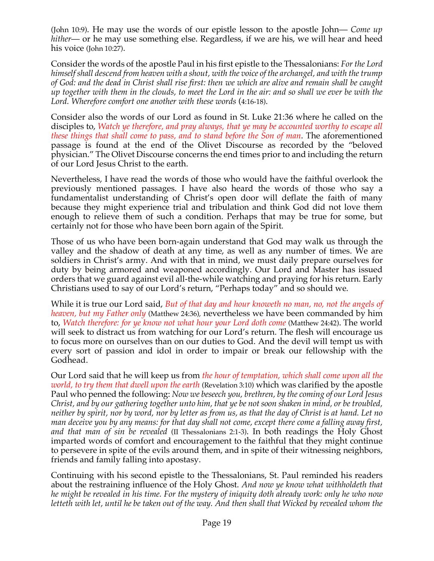(John 10:9). He may use the words of our epistle lesson to the apostle John— *Come up hither*— or he may use something else. Regardless, if we are his, we will hear and heed his voice (John 10:27).

Consider the words of the apostle Paul in his first epistle to the Thessalonians: *For the Lord himself shall descend from heaven with a shout, with the voice of the archangel, and with the trump of God: and the dead in Christ shall rise first: then we which are alive and remain shall be caught up together with them in the clouds, to meet the Lord in the air: and so shall we ever be with the Lord. Wherefore comfort one another with these words* (4:16-18).

Consider also the words of our Lord as found in St. Luke 21:36 where he called on the disciples to, *Watch ye therefore, and pray always, that ye may be accounted worthy to escape all these things that shall come to pass, and to stand before the Son of man*. The aforementioned passage is found at the end of the Olivet Discourse as recorded by the "beloved physician." The Olivet Discourse concerns the end times prior to and including the return of our Lord Jesus Christ to the earth.

Nevertheless, I have read the words of those who would have the faithful overlook the previously mentioned passages. I have also heard the words of those who say a fundamentalist understanding of Christ's open door will deflate the faith of many because they might experience trial and tribulation and think God did not love them enough to relieve them of such a condition. Perhaps that may be true for some, but certainly not for those who have been born again of the Spirit.

Those of us who have been born-again understand that God may walk us through the valley and the shadow of death at any time, as well as any number of times. We are soldiers in Christ's army. And with that in mind, we must daily prepare ourselves for duty by being armored and weaponed accordingly. Our Lord and Master has issued orders that we guard against evil all-the-while watching and praying for his return. Early Christians used to say of our Lord's return, "Perhaps today" and so should we.

While it is true our Lord said, *But of that day and hour knoweth no man, no, not the angels of heaven, but my Father only* (Matthew 24:36), nevertheless we have been commanded by him to, *Watch therefore: for ye know not what hour your Lord doth come* (Matthew 24:42). The world will seek to distract us from watching for our Lord's return. The flesh will encourage us to focus more on ourselves than on our duties to God. And the devil will tempt us with every sort of passion and idol in order to impair or break our fellowship with the Godhead.

Our Lord said that he will keep us from *the hour of temptation, which shall come upon all the world, to try them that dwell upon the earth* (Revelation 3:10) which was clarified by the apostle Paul who penned the following: *Now we beseech you, brethren, by the coming of our Lord Jesus Christ, and by our gathering together unto him, that ye be not soon shaken in mind, or be troubled, neither by spirit, nor by word, nor by letter as from us, as that the day of Christ is at hand. Let no man deceive you by any means: for that day shall not come, except there come a falling away first, and that man of sin be revealed* (II Thessalonians 2:1-3). In both readings the Holy Ghost imparted words of comfort and encouragement to the faithful that they might continue to persevere in spite of the evils around them, and in spite of their witnessing neighbors, friends and family falling into apostasy.

Continuing with his second epistle to the Thessalonians, St. Paul reminded his readers about the restraining influence of the Holy Ghost. *And now ye know what withholdeth that he might be revealed in his time. For the mystery of iniquity doth already work: only he who now letteth with let, until he be taken out of the way. And then shall that Wicked by revealed whom the*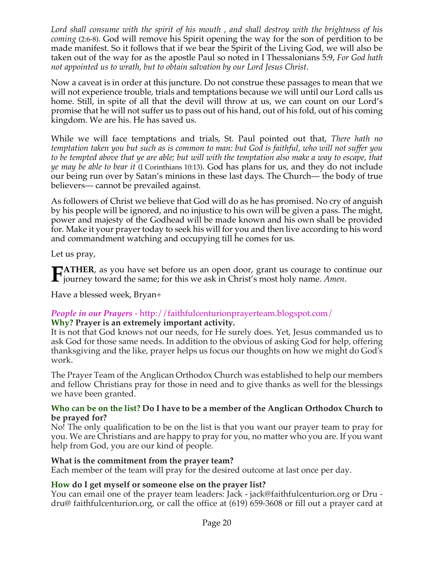*Lord shall consume with the spirit of his mouth , and shall destroy with the brightness of his coming* (2:6-8). God will remove his Spirit opening the way for the son of perdition to be made manifest. So it follows that if we bear the Spirit of the Living God, we will also be taken out of the way for as the apostle Paul so noted in I Thessalonians 5:9, *For God hath not appointed us to wrath, but to obtain salvation by our Lord Jesus Christ*.

Now a caveat is in order at this juncture. Do not construe these passages to mean that we will not experience trouble, trials and temptations because we will until our Lord calls us home. Still, in spite of all that the devil will throw at us, we can count on our Lord's promise that he will not suffer us to pass out of his hand, out of his fold, out of his coming kingdom. We are his. He has saved us.

While we will face temptations and trials, St. Paul pointed out that, *There hath no temptation taken you but such as is common to man: but God is faithful, who will not suffer you to be tempted above that ye are able; but will with the temptation also make a way to escape, that ye may be able to bear it* (I Corinthians 10:13). God has plans for us, and they do not include our being run over by Satan's minions in these last days. The Church— the body of true believers— cannot be prevailed against.

As followers of Christ we believe that God will do as he has promised. No cry of anguish by his people will be ignored, and no injustice to his own will be given a pass. The might, power and majesty of the Godhead will be made known and his own shall be provided for. Make it your prayer today to seek his will for you and then live according to his word and commandment watching and occupying till he comes for us.

Let us pray,

**ATHER**, as you have set before us an open door, grant us courage to continue our **FATHER**, as you have set before us an open door, grant us courage to contrajourney toward the same; for this we ask in Christ's most holy name. *Amen*.

Have a blessed week, Bryan+

# *People in our Prayers* - http://faithfulcenturionprayerteam.blogspot.com/

## **Why? Prayer is an extremely important activity.**

It is not that God knows not our needs, for He surely does. Yet, Jesus commanded us to ask God for those same needs. In addition to the obvious of asking God for help, offering thanksgiving and the like, prayer helps us focus our thoughts on how we might do God's work.

The Prayer Team of the Anglican Orthodox Church was established to help our members and fellow Christians pray for those in need and to give thanks as well for the blessings we have been granted.

#### **Who can be on the list? Do I have to be a member of the Anglican Orthodox Church to be prayed for?**

No! The only qualification to be on the list is that you want our prayer team to pray for you. We are Christians and are happy to pray for you, no matter who you are. If you want help from God, you are our kind of people.

#### **What is the commitment from the prayer team?**

Each member of the team will pray for the desired outcome at last once per day.

## **How do I get myself or someone else on the prayer list?**

You can email one of the prayer team leaders: Jack - jack@faithfulcenturion.org or Dru dru@ faithfulcenturion.org, or call the office at (619) 659-3608 or fill out a prayer card at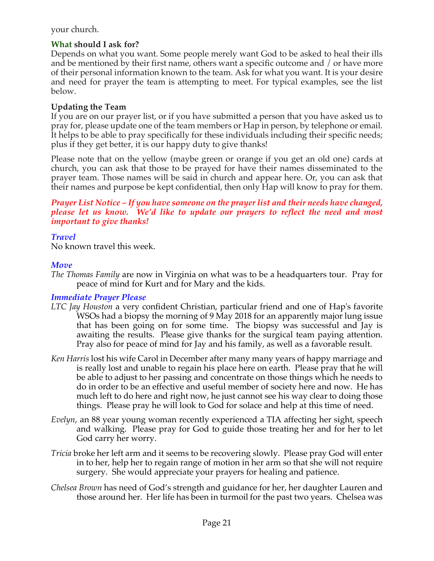## your church.

## **What should I ask for?**

Depends on what you want. Some people merely want God to be asked to heal their ills and be mentioned by their first name, others want a specific outcome and / or have more of their personal information known to the team. Ask for what you want. It is your desire and need for prayer the team is attempting to meet. For typical examples, see the list below.

#### **Updating the Team**

If you are on our prayer list, or if you have submitted a person that you have asked us to pray for, please update one of the team members or Hap in person, by telephone or email. It helps to be able to pray specifically for these individuals including their specific needs; plus if they get better, it is our happy duty to give thanks!

Please note that on the yellow (maybe green or orange if you get an old one) cards at church, you can ask that those to be prayed for have their names disseminated to the prayer team. Those names will be said in church and appear here. Or, you can ask that their names and purpose be kept confidential, then only Hap will know to pray for them.

*Prayer List Notice – If you have someone on the prayer list and their needs have changed, please let us know. We'd like to update our prayers to reflect the need and most important to give thanks!*

## *Travel*

No known travel this week.

## *Move*

*The Thomas Family* are now in Virginia on what was to be a headquarters tour. Pray for peace of mind for Kurt and for Mary and the kids.

#### *Immediate Prayer Please*

- *LTC Jay Houston* a very confident Christian, particular friend and one of Hap's favorite WSOs had a biopsy the morning of 9 May 2018 for an apparently major lung issue that has been going on for some time. The biopsy was successful and Jay is awaiting the results. Please give thanks for the surgical team paying attention. Pray also for peace of mind for Jay and his family, as well as a favorable result.
- *Ken Harris* lost his wife Carol in December after many many years of happy marriage and is really lost and unable to regain his place here on earth. Please pray that he will be able to adjust to her passing and concentrate on those things which he needs to do in order to be an effective and useful member of society here and now. He has much left to do here and right now, he just cannot see his way clear to doing those things. Please pray he will look to God for solace and help at this time of need.
- *Evelyn*, an 88 year young woman recently experienced a TIA affecting her sight, speech and walking. Please pray for God to guide those treating her and for her to let God carry her worry.
- *Tricia* broke her left arm and it seems to be recovering slowly. Please pray God will enter in to her, help her to regain range of motion in her arm so that she will not require surgery. She would appreciate your prayers for healing and patience.
- *Chelsea Brown* has need of God's strength and guidance for her, her daughter Lauren and those around her. Her life has been in turmoil for the past two years. Chelsea was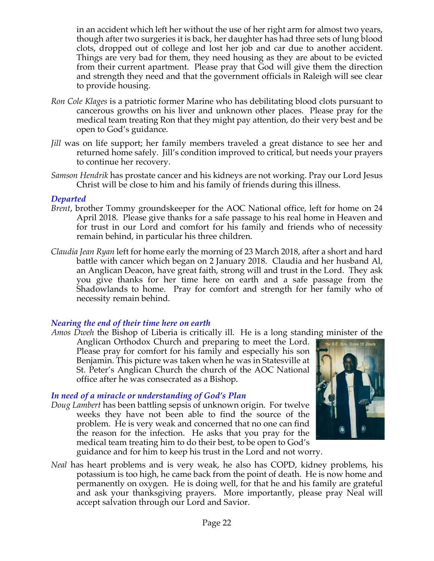in an accident which left her without the use of her right arm for almost two years, though after two surgeries it is back, her daughter has had three sets of lung blood clots, dropped out of college and lost her job and car due to another accident. Things are very bad for them, they need housing as they are about to be evicted from their current apartment. Please pray that God will give them the direction and strength they need and that the government officials in Raleigh will see clear to provide housing.

- *Ron Cole Klages* is a patriotic former Marine who has debilitating blood clots pursuant to cancerous growths on his liver and unknown other places. Please pray for the medical team treating Ron that they might pay attention, do their very best and be open to God's guidance.
- *Jill* was on life support; her family members traveled a great distance to see her and returned home safely. Jill's condition improved to critical, but needs your prayers to continue her recovery.
- *Samson Hendrik* has prostate cancer and his kidneys are not working. Pray our Lord Jesus Christ will be close to him and his family of friends during this illness.

#### *Departed*

- *Brent*, brother Tommy groundskeeper for the AOC National office, left for home on 24 April 2018. Please give thanks for a safe passage to his real home in Heaven and for trust in our Lord and comfort for his family and friends who of necessity remain behind, in particular his three children.
- *Claudia Jean Ryan* left for home early the morning of 23 March 2018, after a short and hard battle with cancer which began on 2 January 2018. Claudia and her husband Al, an Anglican Deacon, have great faith, strong will and trust in the Lord. They ask you give thanks for her time here on earth and a safe passage from the Shadowlands to home. Pray for comfort and strength for her family who of necessity remain behind.

#### *Nearing the end of their time here on earth*

*Amos Dweh* the Bishop of Liberia is critically ill. He is a long standing minister of the

Anglican Orthodox Church and preparing to meet the Lord. Please pray for comfort for his family and especially his son Benjamin. This picture was taken when he was in Statesville at St. Peter's Anglican Church the church of the AOC National office after he was consecrated as a Bishop.

## *In need of a miracle or understanding of God's Plan*

*Doug Lambert* has been battling sepsis of unknown origin. For twelve weeks they have not been able to find the source of the problem. He is very weak and concerned that no one can find the reason for the infection. He asks that you pray for the medical team treating him to do their best, to be open to God's



guidance and for him to keep his trust in the Lord and not worry.

*Neal* has heart problems and is very weak, he also has COPD, kidney problems, his potassium is too high, he came back from the point of death. He is now home and permanently on oxygen. He is doing well, for that he and his family are grateful and ask your thanksgiving prayers. More importantly, please pray Neal will accept salvation through our Lord and Savior.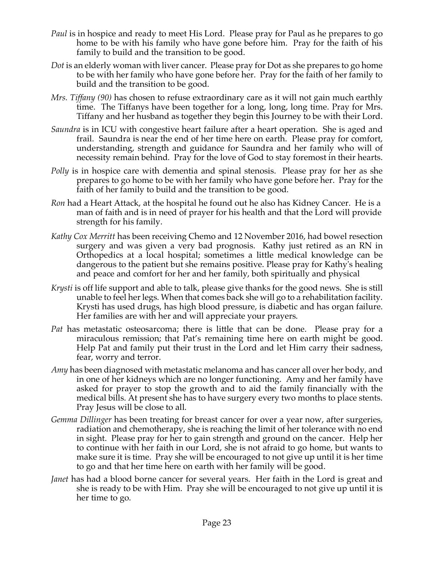- *Paul* is in hospice and ready to meet His Lord. Please pray for Paul as he prepares to go home to be with his family who have gone before him. Pray for the faith of his family to build and the transition to be good.
- *Dot* is an elderly woman with liver cancer. Please pray for Dot as she prepares to go home to be with her family who have gone before her. Pray for the faith of her family to build and the transition to be good.
- *Mrs. Tiffany (90)* has chosen to refuse extraordinary care as it will not gain much earthly time. The Tiffanys have been together for a long, long, long time. Pray for Mrs. Tiffany and her husband as together they begin this Journey to be with their Lord.
- *Saundra* is in ICU with congestive heart failure after a heart operation. She is aged and frail. Saundra is near the end of her time here on earth. Please pray for comfort, understanding, strength and guidance for Saundra and her family who will of necessity remain behind. Pray for the love of God to stay foremost in their hearts.
- *Polly* is in hospice care with dementia and spinal stenosis. Please pray for her as she prepares to go home to be with her family who have gone before her. Pray for the faith of her family to build and the transition to be good.
- *Ron* had a Heart Attack, at the hospital he found out he also has Kidney Cancer. He is a man of faith and is in need of prayer for his health and that the Lord will provide strength for his family.
- *Kathy Cox Merritt* has been receiving Chemo and 12 November 2016, had bowel resection surgery and was given a very bad prognosis. Kathy just retired as an RN in Orthopedics at a local hospital; sometimes a little medical knowledge can be dangerous to the patient but she remains positive. Please pray for Kathy's healing and peace and comfort for her and her family, both spiritually and physical
- *Krysti* is off life support and able to talk, please give thanks for the good news. She is still unable to feel her legs. When that comes back she will go to a rehabilitation facility. Krysti has used drugs, has high blood pressure, is diabetic and has organ failure. Her families are with her and will appreciate your prayers.
- *Pat* has metastatic osteosarcoma; there is little that can be done. Please pray for a miraculous remission; that Pat's remaining time here on earth might be good. Help Pat and family put their trust in the Lord and let Him carry their sadness, fear, worry and terror.
- *Amy* has been diagnosed with metastatic melanoma and has cancer all over her body, and in one of her kidneys which are no longer functioning. Amy and her family have asked for prayer to stop the growth and to aid the family financially with the medical bills. At present she has to have surgery every two months to place stents. Pray Jesus will be close to all.
- *Gemma Dillinger* has been treating for breast cancer for over a year now, after surgeries, radiation and chemotherapy, she is reaching the limit of her tolerance with no end in sight. Please pray for her to gain strength and ground on the cancer. Help her to continue with her faith in our Lord, she is not afraid to go home, but wants to make sure it is time. Pray she will be encouraged to not give up until it is her time to go and that her time here on earth with her family will be good.
- *Janet* has had a blood borne cancer for several years. Her faith in the Lord is great and she is ready to be with Him. Pray she will be encouraged to not give up until it is her time to go.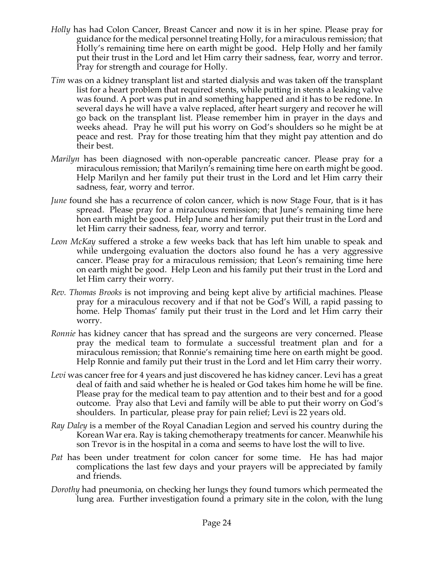- *Holly* has had Colon Cancer, Breast Cancer and now it is in her spine. Please pray for guidance for the medical personnel treating Holly, for a miraculous remission; that Holly's remaining time here on earth might be good. Help Holly and her family put their trust in the Lord and let Him carry their sadness, fear, worry and terror. Pray for strength and courage for Holly.
- *Tim* was on a kidney transplant list and started dialysis and was taken off the transplant list for a heart problem that required stents, while putting in stents a leaking valve was found. A port was put in and something happened and it has to be redone. In several days he will have a valve replaced, after heart surgery and recover he will go back on the transplant list. Please remember him in prayer in the days and weeks ahead. Pray he will put his worry on God's shoulders so he might be at peace and rest. Pray for those treating him that they might pay attention and do their best.
- *Marilyn* has been diagnosed with non-operable pancreatic cancer. Please pray for a miraculous remission; that Marilyn's remaining time here on earth might be good. Help Marilyn and her family put their trust in the Lord and let Him carry their sadness, fear, worry and terror.
- *June* found she has a recurrence of colon cancer, which is now Stage Four, that is it has spread. Please pray for a miraculous remission; that June's remaining time here hon earth might be good. Help June and her family put their trust in the Lord and let Him carry their sadness, fear, worry and terror.
- *Leon McKay* suffered a stroke a few weeks back that has left him unable to speak and while undergoing evaluation the doctors also found he has a very aggressive cancer. Please pray for a miraculous remission; that Leon's remaining time here on earth might be good. Help Leon and his family put their trust in the Lord and let Him carry their worry.
- *Rev. Thomas Brooks* is not improving and being kept alive by artificial machines. Please pray for a miraculous recovery and if that not be God's Will, a rapid passing to home. Help Thomas' family put their trust in the Lord and let Him carry their worry.
- *Ronnie* has kidney cancer that has spread and the surgeons are very concerned. Please pray the medical team to formulate a successful treatment plan and for a miraculous remission; that Ronnie's remaining time here on earth might be good. Help Ronnie and family put their trust in the Lord and let Him carry their worry.
- *Levi* was cancer free for 4 years and just discovered he has kidney cancer. Levi has a great deal of faith and said whether he is healed or God takes him home he will be fine. Please pray for the medical team to pay attention and to their best and for a good outcome. Pray also that Levi and family will be able to put their worry on God's shoulders. In particular, please pray for pain relief; Levi is 22 years old.
- *Ray Daley* is a member of the Royal Canadian Legion and served his country during the Korean War era. Ray is taking chemotherapy treatments for cancer. Meanwhile his son Trevor is in the hospital in a coma and seems to have lost the will to live.
- *Pat* has been under treatment for colon cancer for some time. He has had major complications the last few days and your prayers will be appreciated by family and friends.
- *Dorothy* had pneumonia, on checking her lungs they found tumors which permeated the lung area. Further investigation found a primary site in the colon, with the lung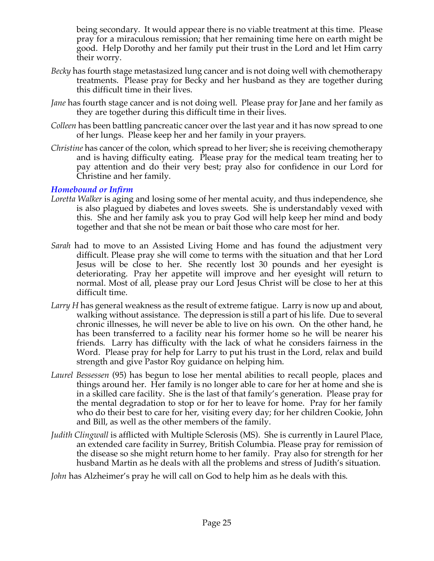being secondary. It would appear there is no viable treatment at this time. Please pray for a miraculous remission; that her remaining time here on earth might be good. Help Dorothy and her family put their trust in the Lord and let Him carry their worry.

- *Becky* has fourth stage metastasized lung cancer and is not doing well with chemotherapy treatments. Please pray for Becky and her husband as they are together during this difficult time in their lives.
- *Jane* has fourth stage cancer and is not doing well. Please pray for Jane and her family as they are together during this difficult time in their lives.
- *Colleen* has been battling pancreatic cancer over the last year and it has now spread to one of her lungs. Please keep her and her family in your prayers.
- *Christine* has cancer of the colon, which spread to her liver; she is receiving chemotherapy and is having difficulty eating. Please pray for the medical team treating her to pay attention and do their very best; pray also for confidence in our Lord for Christine and her family.

## *Homebound or Infirm*

- *Loretta Walker* is aging and losing some of her mental acuity, and thus independence, she is also plagued by diabetes and loves sweets. She is understandably vexed with this. She and her family ask you to pray God will help keep her mind and body together and that she not be mean or bait those who care most for her.
- *Sarah* had to move to an Assisted Living Home and has found the adjustment very difficult. Please pray she will come to terms with the situation and that her Lord Jesus will be close to her. She recently lost 30 pounds and her eyesight is deteriorating. Pray her appetite will improve and her eyesight will return to normal. Most of all, please pray our Lord Jesus Christ will be close to her at this difficult time.
- *Larry H* has general weakness as the result of extreme fatigue. Larry is now up and about, walking without assistance. The depression is still a part of his life. Due to several chronic illnesses, he will never be able to live on his own. On the other hand, he has been transferred to a facility near his former home so he will be nearer his friends. Larry has difficulty with the lack of what he considers fairness in the Word. Please pray for help for Larry to put his trust in the Lord, relax and build strength and give Pastor Roy guidance on helping him.
- *Laurel Bessessen* (95) has begun to lose her mental abilities to recall people, places and things around her. Her family is no longer able to care for her at home and she is in a skilled care facility. She is the last of that family's generation. Please pray for the mental degradation to stop or for her to leave for home. Pray for her family who do their best to care for her, visiting every day; for her children Cookie, John and Bill, as well as the other members of the family.
- *Judith Clingwall* is afflicted with Multiple Sclerosis (MS). She is currently in Laurel Place, an extended care facility in Surrey, British Columbia. Please pray for remission of the disease so she might return home to her family. Pray also for strength for her husband Martin as he deals with all the problems and stress of Judith's situation.
- *John* has Alzheimer's pray he will call on God to help him as he deals with this.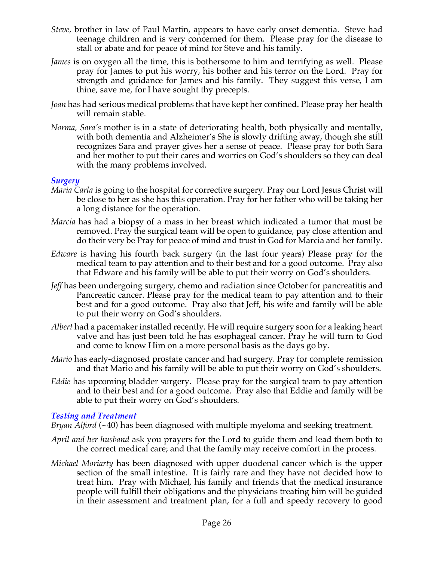- *Steve,* brother in law of Paul Martin, appears to have early onset dementia. Steve had teenage children and is very concerned for them. Please pray for the disease to stall or abate and for peace of mind for Steve and his family.
- *James* is on oxygen all the time, this is bothersome to him and terrifying as well. Please pray for James to put his worry, his bother and his terror on the Lord. Pray for strength and guidance for James and his family. They suggest this verse, I am thine, save me, for I have sought thy precepts.
- *Joan* has had serious medical problems that have kept her confined. Please pray her health will remain stable.
- *Norma, Sara's* mother is in a state of deteriorating health, both physically and mentally, with both dementia and Alzheimer's She is slowly drifting away, though she still recognizes Sara and prayer gives her a sense of peace. Please pray for both Sara and her mother to put their cares and worries on God's shoulders so they can deal with the many problems involved.

## *Surgery*

- *Maria Carla* is going to the hospital for corrective surgery. Pray our Lord Jesus Christ will be close to her as she has this operation. Pray for her father who will be taking her a long distance for the operation.
- *Marcia* has had a biopsy of a mass in her breast which indicated a tumor that must be removed. Pray the surgical team will be open to guidance, pay close attention and do their very be Pray for peace of mind and trust in God for Marcia and her family.
- *Edware* is having his fourth back surgery (in the last four years) Please pray for the medical team to pay attention and to their best and for a good outcome. Pray also that Edware and his family will be able to put their worry on God's shoulders.
- *Jeff* has been undergoing surgery, chemo and radiation since October for pancreatitis and Pancreatic cancer. Please pray for the medical team to pay attention and to their best and for a good outcome. Pray also that Jeff, his wife and family will be able to put their worry on God's shoulders.
- *Albert* had a pacemaker installed recently. He will require surgery soon for a leaking heart valve and has just been told he has esophageal cancer. Pray he will turn to God and come to know Him on a more personal basis as the days go by.
- *Mario* has early-diagnosed prostate cancer and had surgery. Pray for complete remission and that Mario and his family will be able to put their worry on God's shoulders.
- *Eddie* has upcoming bladder surgery. Please pray for the surgical team to pay attention and to their best and for a good outcome. Pray also that Eddie and family will be able to put their worry on God's shoulders.

#### *Testing and Treatment*

*Bryan Alford* (~40) has been diagnosed with multiple myeloma and seeking treatment.

- *April and her husband* ask you prayers for the Lord to guide them and lead them both to the correct medical care; and that the family may receive comfort in the process.
- *Michael Moriarty* has been diagnosed with upper duodenal cancer which is the upper section of the small intestine. It is fairly rare and they have not decided how to treat him. Pray with Michael, his family and friends that the medical insurance people will fulfill their obligations and the physicians treating him will be guided in their assessment and treatment plan, for a full and speedy recovery to good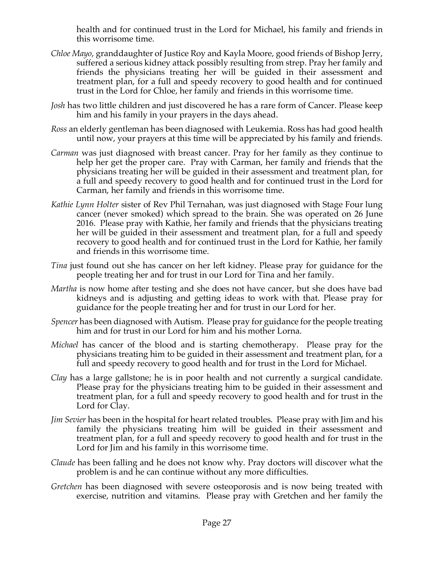health and for continued trust in the Lord for Michael, his family and friends in this worrisome time.

- *Chloe Mayo*, granddaughter of Justice Roy and Kayla Moore, good friends of Bishop Jerry, suffered a serious kidney attack possibly resulting from strep. Pray her family and friends the physicians treating her will be guided in their assessment and treatment plan, for a full and speedy recovery to good health and for continued trust in the Lord for Chloe, her family and friends in this worrisome time.
- *Josh* has two little children and just discovered he has a rare form of Cancer. Please keep him and his family in your prayers in the days ahead.
- *Ross* an elderly gentleman has been diagnosed with Leukemia. Ross has had good health until now, your prayers at this time will be appreciated by his family and friends.
- *Carman* was just diagnosed with breast cancer. Pray for her family as they continue to help her get the proper care. Pray with Carman, her family and friends that the physicians treating her will be guided in their assessment and treatment plan, for a full and speedy recovery to good health and for continued trust in the Lord for Carman, her family and friends in this worrisome time.
- *Kathie Lynn Holter* sister of Rev Phil Ternahan, was just diagnosed with Stage Four lung cancer (never smoked) which spread to the brain. She was operated on 26 June 2016. Please pray with Kathie, her family and friends that the physicians treating her will be guided in their assessment and treatment plan, for a full and speedy recovery to good health and for continued trust in the Lord for Kathie, her family and friends in this worrisome time.
- *Tina* just found out she has cancer on her left kidney. Please pray for guidance for the people treating her and for trust in our Lord for Tina and her family.
- *Martha* is now home after testing and she does not have cancer, but she does have bad kidneys and is adjusting and getting ideas to work with that. Please pray for guidance for the people treating her and for trust in our Lord for her.
- *Spencer* has been diagnosed with Autism. Please pray for guidance for the people treating him and for trust in our Lord for him and his mother Lorna.
- *Michael* has cancer of the blood and is starting chemotherapy. Please pray for the physicians treating him to be guided in their assessment and treatment plan, for a full and speedy recovery to good health and for trust in the Lord for Michael.
- *Clay* has a large gallstone; he is in poor health and not currently a surgical candidate. Please pray for the physicians treating him to be guided in their assessment and treatment plan, for a full and speedy recovery to good health and for trust in the Lord for Clay.
- *Jim Sevier* has been in the hospital for heart related troubles. Please pray with Jim and his family the physicians treating him will be guided in their assessment and treatment plan, for a full and speedy recovery to good health and for trust in the Lord for Jim and his family in this worrisome time.
- *Claude* has been falling and he does not know why. Pray doctors will discover what the problem is and he can continue without any more difficulties.
- *Gretchen* has been diagnosed with severe osteoporosis and is now being treated with exercise, nutrition and vitamins. Please pray with Gretchen and her family the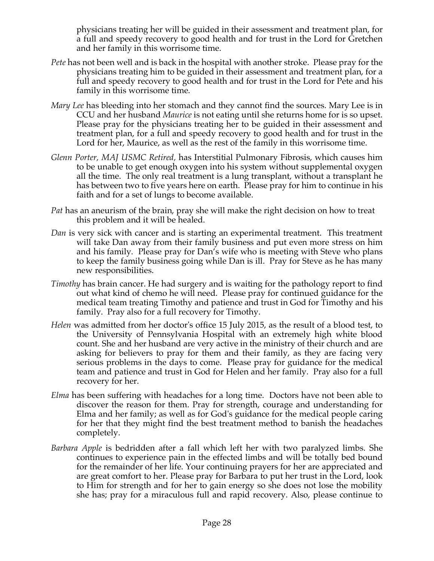physicians treating her will be guided in their assessment and treatment plan, for a full and speedy recovery to good health and for trust in the Lord for Gretchen and her family in this worrisome time.

- *Pete* has not been well and is back in the hospital with another stroke. Please pray for the physicians treating him to be guided in their assessment and treatment plan, for a full and speedy recovery to good health and for trust in the Lord for Pete and his family in this worrisome time.
- *Mary Lee* has bleeding into her stomach and they cannot find the sources. Mary Lee is in CCU and her husband *Maurice* is not eating until she returns home for is so upset. Please pray for the physicians treating her to be guided in their assessment and treatment plan, for a full and speedy recovery to good health and for trust in the Lord for her, Maurice, as well as the rest of the family in this worrisome time.
- *Glenn Porter, MAJ USMC Retired,* has Interstitial Pulmonary Fibrosis, which causes him to be unable to get enough oxygen into his system without supplemental oxygen all the time. The only real treatment is a lung transplant, without a transplant he has between two to five years here on earth. Please pray for him to continue in his faith and for a set of lungs to become available.
- *Pat* has an aneurism of the brain, pray she will make the right decision on how to treat this problem and it will be healed.
- *Dan* is very sick with cancer and is starting an experimental treatment. This treatment will take Dan away from their family business and put even more stress on him and his family. Please pray for Dan's wife who is meeting with Steve who plans to keep the family business going while Dan is ill. Pray for Steve as he has many new responsibilities.
- *Timothy* has brain cancer. He had surgery and is waiting for the pathology report to find out what kind of chemo he will need. Please pray for continued guidance for the medical team treating Timothy and patience and trust in God for Timothy and his family. Pray also for a full recovery for Timothy.
- *Helen* was admitted from her doctor's office 15 July 2015, as the result of a blood test, to the University of Pennsylvania Hospital with an extremely high white blood count. She and her husband are very active in the ministry of their church and are asking for believers to pray for them and their family, as they are facing very serious problems in the days to come. Please pray for guidance for the medical team and patience and trust in God for Helen and her family. Pray also for a full recovery for her.
- *Elma* has been suffering with headaches for a long time. Doctors have not been able to discover the reason for them. Pray for strength, courage and understanding for Elma and her family; as well as for God's guidance for the medical people caring for her that they might find the best treatment method to banish the headaches completely.
- *Barbara Apple* is bedridden after a fall which left her with two paralyzed limbs. She continues to experience pain in the effected limbs and will be totally bed bound for the remainder of her life. Your continuing prayers for her are appreciated and are great comfort to her. Please pray for Barbara to put her trust in the Lord, look to Him for strength and for her to gain energy so she does not lose the mobility she has; pray for a miraculous full and rapid recovery. Also, please continue to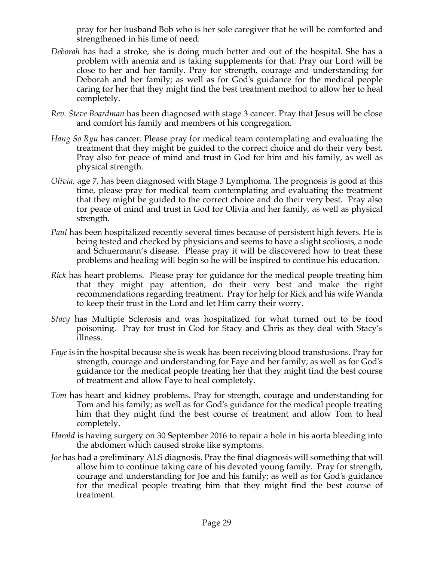pray for her husband Bob who is her sole caregiver that he will be comforted and strengthened in his time of need.

- *Deborah* has had a stroke, she is doing much better and out of the hospital. She has a problem with anemia and is taking supplements for that. Pray our Lord will be close to her and her family. Pray for strength, courage and understanding for Deborah and her family; as well as for God's guidance for the medical people caring for her that they might find the best treatment method to allow her to heal completely.
- *Rev. Steve Boardman* has been diagnosed with stage 3 cancer. Pray that Jesus will be close and comfort his family and members of his congregation*.*
- *Hang So Ryu* has cancer. Please pray for medical team contemplating and evaluating the treatment that they might be guided to the correct choice and do their very best. Pray also for peace of mind and trust in God for him and his family, as well as physical strength.
- *Olivia,* age 7, has been diagnosed with Stage 3 Lymphoma. The prognosis is good at this time, please pray for medical team contemplating and evaluating the treatment that they might be guided to the correct choice and do their very best. Pray also for peace of mind and trust in God for Olivia and her family, as well as physical strength.
- *Paul* has been hospitalized recently several times because of persistent high fevers. He is being tested and checked by physicians and seems to have a slight scoliosis, a node and Schuermann's disease. Please pray it will be discovered how to treat these problems and healing will begin so he will be inspired to continue his education.
- *Rick* has heart problems. Please pray for guidance for the medical people treating him that they might pay attention, do their very best and make the right recommendations regarding treatment. Pray for help for Rick and his wife Wanda to keep their trust in the Lord and let Him carry their worry.
- *Stacy* has Multiple Sclerosis and was hospitalized for what turned out to be food poisoning. Pray for trust in God for Stacy and Chris as they deal with Stacy's illness.
- *Faye* is in the hospital because she is weak has been receiving blood transfusions. Pray for strength, courage and understanding for Faye and her family; as well as for God's guidance for the medical people treating her that they might find the best course of treatment and allow Faye to heal completely.
- *Tom* has heart and kidney problems. Pray for strength, courage and understanding for Tom and his family; as well as for God's guidance for the medical people treating him that they might find the best course of treatment and allow Tom to heal completely.
- *Harold* is having surgery on 30 September 2016 to repair a hole in his aorta bleeding into the abdomen which caused stroke like symptoms.
- *Joe* has had a preliminary ALS diagnosis. Pray the final diagnosis will something that will allow him to continue taking care of his devoted young family. Pray for strength, courage and understanding for Joe and his family; as well as for God's guidance for the medical people treating him that they might find the best course of treatment.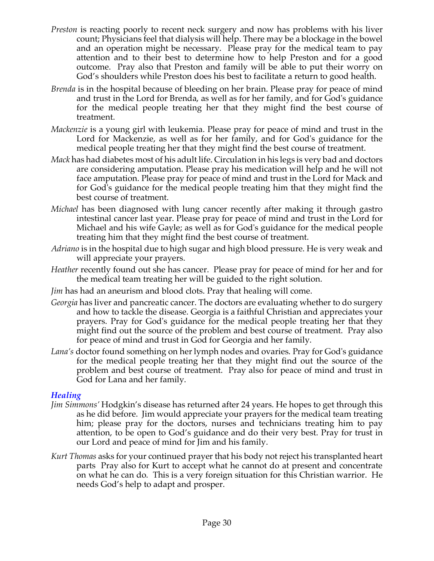- *Preston* is reacting poorly to recent neck surgery and now has problems with his liver count; Physicians feel that dialysis will help. There may be a blockage in the bowel and an operation might be necessary. Please pray for the medical team to pay attention and to their best to determine how to help Preston and for a good outcome. Pray also that Preston and family will be able to put their worry on God's shoulders while Preston does his best to facilitate a return to good health.
- *Brenda* is in the hospital because of bleeding on her brain. Please pray for peace of mind and trust in the Lord for Brenda, as well as for her family, and for God's guidance for the medical people treating her that they might find the best course of treatment.
- *Mackenzie* is a young girl with leukemia. Please pray for peace of mind and trust in the Lord for Mackenzie, as well as for her family, and for God's guidance for the medical people treating her that they might find the best course of treatment.
- *Mack* has had diabetes most of his adult life. Circulation in his legs is very bad and doctors are considering amputation. Please pray his medication will help and he will not face amputation. Please pray for peace of mind and trust in the Lord for Mack and for God's guidance for the medical people treating him that they might find the best course of treatment.
- *Michael* has been diagnosed with lung cancer recently after making it through gastro intestinal cancer last year. Please pray for peace of mind and trust in the Lord for Michael and his wife Gayle; as well as for God's guidance for the medical people treating him that they might find the best course of treatment.
- *Adriano* is in the hospital due to high sugar and high blood pressure. He is very weak and will appreciate your prayers.
- *Heather* recently found out she has cancer. Please pray for peace of mind for her and for the medical team treating her will be guided to the right solution.
- *Jim* has had an aneurism and blood clots. Pray that healing will come.
- *Georgia* has liver and pancreatic cancer. The doctors are evaluating whether to do surgery and how to tackle the disease. Georgia is a faithful Christian and appreciates your prayers. Pray for God's guidance for the medical people treating her that they might find out the source of the problem and best course of treatment. Pray also for peace of mind and trust in God for Georgia and her family.
- *Lana's* doctor found something on her lymph nodes and ovaries. Pray for God's guidance for the medical people treating her that they might find out the source of the problem and best course of treatment. Pray also for peace of mind and trust in God for Lana and her family.

# *Healing*

- *Jim Simmons'* Hodgkin's disease has returned after 24 years. He hopes to get through this as he did before. Jim would appreciate your prayers for the medical team treating him; please pray for the doctors, nurses and technicians treating him to pay attention, to be open to God's guidance and do their very best. Pray for trust in our Lord and peace of mind for Jim and his family.
- *Kurt Thomas* asks for your continued prayer that his body not reject his transplanted heart parts Pray also for Kurt to accept what he cannot do at present and concentrate on what he can do. This is a very foreign situation for this Christian warrior. He needs God's help to adapt and prosper.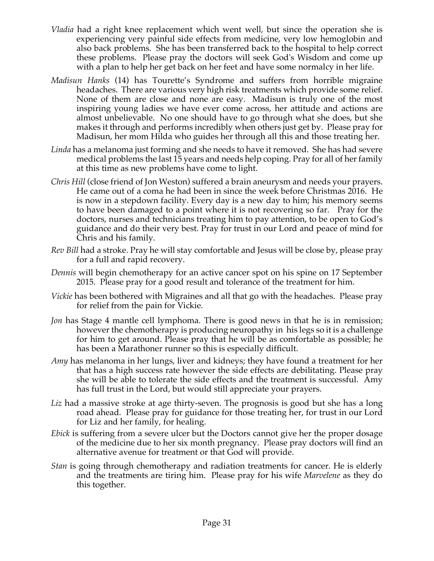- *Vladia* had a right knee replacement which went well, but since the operation she is experiencing very painful side effects from medicine, very low hemoglobin and also back problems. She has been transferred back to the hospital to help correct these problems. Please pray the doctors will seek God's Wisdom and come up with a plan to help her get back on her feet and have some normalcy in her life.
- *Madisun Hanks* (14) has Tourette's Syndrome and suffers from horrible migraine headaches. There are various very high risk treatments which provide some relief. None of them are close and none are easy. Madisun is truly one of the most inspiring young ladies we have ever come across, her attitude and actions are almost unbelievable. No one should have to go through what she does, but she makes it through and performs incredibly when others just get by. Please pray for Madisun, her mom Hilda who guides her through all this and those treating her.
- *Linda* has a melanoma just forming and she needs to have it removed. She has had severe medical problems the last 15 years and needs help coping. Pray for all of her family at this time as new problems have come to light.
- *Chris Hill* (close friend of Jon Weston) suffered a brain aneurysm and needs your prayers. He came out of a coma he had been in since the week before Christmas 2016. He is now in a stepdown facility. Every day is a new day to him; his memory seems to have been damaged to a point where it is not recovering so far. Pray for the doctors, nurses and technicians treating him to pay attention, to be open to God's guidance and do their very best. Pray for trust in our Lord and peace of mind for Chris and his family.
- *Rev Bill* had a stroke. Pray he will stay comfortable and Jesus will be close by, please pray for a full and rapid recovery.
- *Dennis* will begin chemotherapy for an active cancer spot on his spine on 17 September 2015. Please pray for a good result and tolerance of the treatment for him.
- *Vickie* has been bothered with Migraines and all that go with the headaches. Please pray for relief from the pain for Vickie.
- *Jon* has Stage 4 mantle cell lymphoma. There is good news in that he is in remission; however the chemotherapy is producing neuropathy in his legs so it is a challenge for him to get around. Please pray that he will be as comfortable as possible; he has been a Marathoner runner so this is especially difficult.
- *Amy* has melanoma in her lungs, liver and kidneys; they have found a treatment for her that has a high success rate however the side effects are debilitating. Please pray she will be able to tolerate the side effects and the treatment is successful. Amy has full trust in the Lord, but would still appreciate your prayers.
- *Liz* had a massive stroke at age thirty-seven. The prognosis is good but she has a long road ahead. Please pray for guidance for those treating her, for trust in our Lord for Liz and her family, for healing.
- *Ebick* is suffering from a severe ulcer but the Doctors cannot give her the proper dosage of the medicine due to her six month pregnancy. Please pray doctors will find an alternative avenue for treatment or that God will provide.
- *Stan* is going through chemotherapy and radiation treatments for cancer. He is elderly and the treatments are tiring him. Please pray for his wife *Marvelene* as they do this together.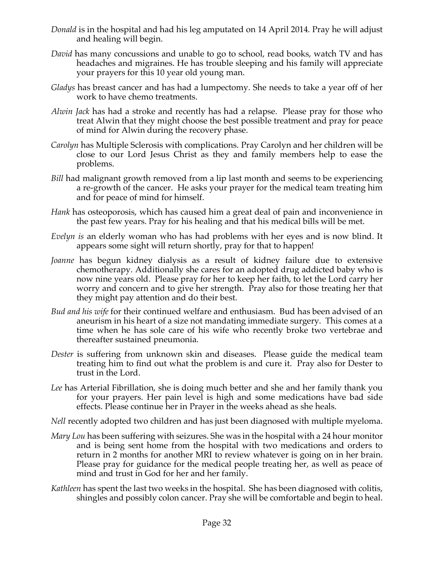- *Donald* is in the hospital and had his leg amputated on 14 April 2014. Pray he will adjust and healing will begin.
- *David* has many concussions and unable to go to school, read books, watch TV and has headaches and migraines. He has trouble sleeping and his family will appreciate your prayers for this 10 year old young man.
- *Gladys* has breast cancer and has had a lumpectomy. She needs to take a year off of her work to have chemo treatments.
- *Alwin Jack* has had a stroke and recently has had a relapse. Please pray for those who treat Alwin that they might choose the best possible treatment and pray for peace of mind for Alwin during the recovery phase.
- *Carolyn* has Multiple Sclerosis with complications. Pray Carolyn and her children will be close to our Lord Jesus Christ as they and family members help to ease the problems.
- *Bill* had malignant growth removed from a lip last month and seems to be experiencing a re-growth of the cancer. He asks your prayer for the medical team treating him and for peace of mind for himself.
- *Hank* has osteoporosis, which has caused him a great deal of pain and inconvenience in the past few years. Pray for his healing and that his medical bills will be met.
- *Evelyn is* an elderly woman who has had problems with her eyes and is now blind. It appears some sight will return shortly, pray for that to happen!
- *Joanne* has begun kidney dialysis as a result of kidney failure due to extensive chemotherapy. Additionally she cares for an adopted drug addicted baby who is now nine years old. Please pray for her to keep her faith, to let the Lord carry her worry and concern and to give her strength. Pray also for those treating her that they might pay attention and do their best.
- *Bud and his wife* for their continued welfare and enthusiasm. Bud has been advised of an aneurism in his heart of a size not mandating immediate surgery. This comes at a time when he has sole care of his wife who recently broke two vertebrae and thereafter sustained pneumonia.
- *Dester* is suffering from unknown skin and diseases. Please guide the medical team treating him to find out what the problem is and cure it. Pray also for Dester to trust in the Lord.
- *Lee* has Arterial Fibrillation, she is doing much better and she and her family thank you for your prayers. Her pain level is high and some medications have bad side effects. Please continue her in Prayer in the weeks ahead as she heals.
- *Nell* recently adopted two children and has just been diagnosed with multiple myeloma.
- *Mary Lou* has been suffering with seizures. She was in the hospital with a 24 hour monitor and is being sent home from the hospital with two medications and orders to return in 2 months for another MRI to review whatever is going on in her brain. Please pray for guidance for the medical people treating her, as well as peace of mind and trust in God for her and her family.
- *Kathleen* has spent the last two weeks in the hospital. She has been diagnosed with colitis, shingles and possibly colon cancer. Pray she will be comfortable and begin to heal.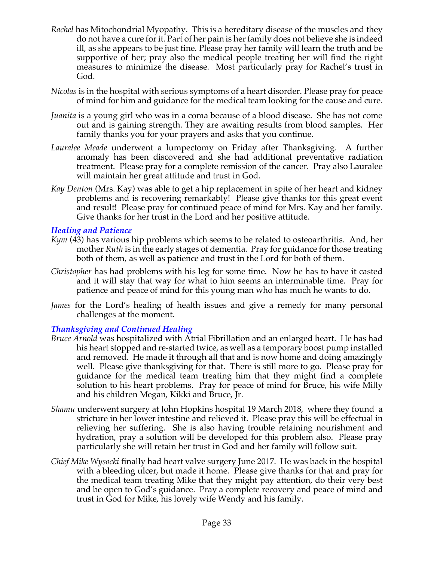- *Rachel* has Mitochondrial Myopathy. This is a hereditary disease of the muscles and they do not have a cure for it. Part of her pain is her family does not believe she is indeed ill, as she appears to be just fine. Please pray her family will learn the truth and be supportive of her; pray also the medical people treating her will find the right measures to minimize the disease. Most particularly pray for Rachel's trust in God.
- *Nicolas* is in the hospital with serious symptoms of a heart disorder. Please pray for peace of mind for him and guidance for the medical team looking for the cause and cure.
- *Juanita* is a young girl who was in a coma because of a blood disease. She has not come out and is gaining strength. They are awaiting results from blood samples. Her family thanks you for your prayers and asks that you continue.
- *Lauralee Meade* underwent a lumpectomy on Friday after Thanksgiving. A further anomaly has been discovered and she had additional preventative radiation treatment. Please pray for a complete remission of the cancer. Pray also Lauralee will maintain her great attitude and trust in God.
- *Kay Denton* (Mrs. Kay) was able to get a hip replacement in spite of her heart and kidney problems and is recovering remarkably! Please give thanks for this great event and result! Please pray for continued peace of mind for Mrs. Kay and her family. Give thanks for her trust in the Lord and her positive attitude.

## *Healing and Patience*

- *Kym* (43) has various hip problems which seems to be related to osteoarthritis. And, her mother *Ruth* is in the early stages of dementia. Pray for guidance for those treating both of them, as well as patience and trust in the Lord for both of them.
- *Christopher* has had problems with his leg for some time. Now he has to have it casted and it will stay that way for what to him seems an interminable time. Pray for patience and peace of mind for this young man who has much he wants to do.
- *James* for the Lord's healing of health issues and give a remedy for many personal challenges at the moment.

## *Thanksgiving and Continued Healing*

- *Bruce Arnold* was hospitalized with Atrial Fibrillation and an enlarged heart. He has had his heart stopped and re-started twice, as well as a temporary boost pump installed and removed. He made it through all that and is now home and doing amazingly well. Please give thanksgiving for that. There is still more to go. Please pray for guidance for the medical team treating him that they might find a complete solution to his heart problems. Pray for peace of mind for Bruce, his wife Milly and his children Megan, Kikki and Bruce, Jr.
- *Shamu* underwent surgery at John Hopkins hospital 19 March 2018, where they found a stricture in her lower intestine and relieved it. Please pray this will be effectual in relieving her suffering. She is also having trouble retaining nourishment and hydration, pray a solution will be developed for this problem also. Please pray particularly she will retain her trust in God and her family will follow suit.
- *Chief Mike Wysocki* finally had heart valve surgery June 2017. He was back in the hospital with a bleeding ulcer, but made it home. Please give thanks for that and pray for the medical team treating Mike that they might pay attention, do their very best and be open to God's guidance. Pray a complete recovery and peace of mind and trust in God for Mike, his lovely wife Wendy and his family.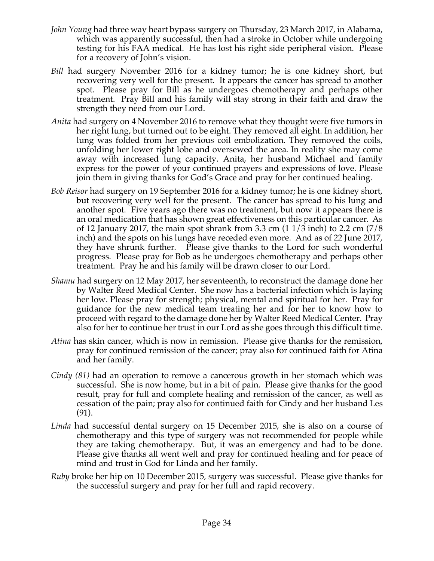- *John Young* had three way heart bypass surgery on Thursday, 23 March 2017, in Alabama, which was apparently successful, then had a stroke in October while undergoing testing for his FAA medical. He has lost his right side peripheral vision. Please for a recovery of John's vision.
- *Bill* had surgery November 2016 for a kidney tumor; he is one kidney short, but recovering very well for the present. It appears the cancer has spread to another spot. Please pray for Bill as he undergoes chemotherapy and perhaps other treatment. Pray Bill and his family will stay strong in their faith and draw the strength they need from our Lord.
- *Anita* had surgery on 4 November 2016 to remove what they thought were five tumors in her right lung, but turned out to be eight. They removed all eight. In addition, her lung was folded from her previous coil embolization. They removed the coils, unfolding her lower right lobe and oversewed the area. In reality she may come away with increased lung capacity. Anita, her husband Michael and family express for the power of your continued prayers and expressions of love. Please join them in giving thanks for God's Grace and pray for her continued healing.
- *Bob Reisor* had surgery on 19 September 2016 for a kidney tumor; he is one kidney short, but recovering very well for the present. The cancer has spread to his lung and another spot. Five years ago there was no treatment, but now it appears there is an oral medication that has shown great effectiveness on this particular cancer. As of 12 January 2017, the main spot shrank from 3.3 cm  $(11/3 \text{ inch})$  to 2.2 cm  $(7/8 \text{ ft})$ inch) and the spots on his lungs have receded even more. And as of 22 June 2017, they have shrunk further. Please give thanks to the Lord for such wonderful progress. Please pray for Bob as he undergoes chemotherapy and perhaps other treatment. Pray he and his family will be drawn closer to our Lord.
- *Shamu* had surgery on 12 May 2017, her seventeenth, to reconstruct the damage done her by Walter Reed Medical Center. She now has a bacterial infection which is laying her low. Please pray for strength; physical, mental and spiritual for her. Pray for guidance for the new medical team treating her and for her to know how to proceed with regard to the damage done her by Walter Reed Medical Center. Pray also for her to continue her trust in our Lord as she goes through this difficult time.
- *Atina* has skin cancer, which is now in remission. Please give thanks for the remission, pray for continued remission of the cancer; pray also for continued faith for Atina and her family.
- *Cindy (81)* had an operation to remove a cancerous growth in her stomach which was successful. She is now home, but in a bit of pain. Please give thanks for the good result, pray for full and complete healing and remission of the cancer, as well as cessation of the pain; pray also for continued faith for Cindy and her husband Les (91).
- *Linda* had successful dental surgery on 15 December 2015, she is also on a course of chemotherapy and this type of surgery was not recommended for people while they are taking chemotherapy. But, it was an emergency and had to be done. Please give thanks all went well and pray for continued healing and for peace of mind and trust in God for Linda and her family.
- *Ruby* broke her hip on 10 December 2015, surgery was successful. Please give thanks for the successful surgery and pray for her full and rapid recovery.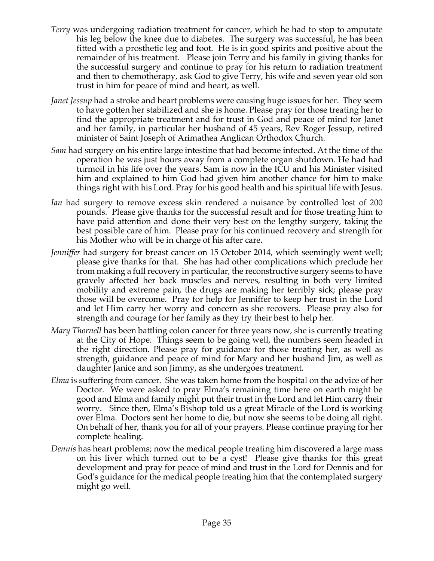- *Terry* was undergoing radiation treatment for cancer, which he had to stop to amputate his leg below the knee due to diabetes. The surgery was successful, he has been fitted with a prosthetic leg and foot. He is in good spirits and positive about the remainder of his treatment. Please join Terry and his family in giving thanks for the successful surgery and continue to pray for his return to radiation treatment and then to chemotherapy, ask God to give Terry, his wife and seven year old son trust in him for peace of mind and heart, as well.
- *Janet Jessup* had a stroke and heart problems were causing huge issues for her. They seem to have gotten her stabilized and she is home. Please pray for those treating her to find the appropriate treatment and for trust in God and peace of mind for Janet and her family, in particular her husband of 45 years, Rev Roger Jessup, retired minister of Saint Joseph of Arimathea Anglican Orthodox Church.
- *Sam* had surgery on his entire large intestine that had become infected. At the time of the operation he was just hours away from a complete organ shutdown. He had had turmoil in his life over the years. Sam is now in the ICU and his Minister visited him and explained to him God had given him another chance for him to make things right with his Lord. Pray for his good health and his spiritual life with Jesus.
- *Ian* had surgery to remove excess skin rendered a nuisance by controlled lost of 200 pounds. Please give thanks for the successful result and for those treating him to have paid attention and done their very best on the lengthy surgery, taking the best possible care of him. Please pray for his continued recovery and strength for his Mother who will be in charge of his after care.
- *Jenniffer* had surgery for breast cancer on 15 October 2014, which seemingly went well; please give thanks for that. She has had other complications which preclude her from making a full recovery in particular, the reconstructive surgery seems to have gravely affected her back muscles and nerves, resulting in both very limited mobility and extreme pain, the drugs are making her terribly sick; please pray those will be overcome. Pray for help for Jenniffer to keep her trust in the Lord and let Him carry her worry and concern as she recovers. Please pray also for strength and courage for her family as they try their best to help her.
- *Mary Thornell* has been battling colon cancer for three years now, she is currently treating at the City of Hope. Things seem to be going well, the numbers seem headed in the right direction. Please pray for guidance for those treating her, as well as strength, guidance and peace of mind for Mary and her husband Jim, as well as daughter Janice and son Jimmy, as she undergoes treatment.
- *Elma* is suffering from cancer. She was taken home from the hospital on the advice of her Doctor. We were asked to pray Elma's remaining time here on earth might be good and Elma and family might put their trust in the Lord and let Him carry their worry. Since then, Elma's Bishop told us a great Miracle of the Lord is working over Elma. Doctors sent her home to die, but now she seems to be doing all right. On behalf of her, thank you for all of your prayers. Please continue praying for her complete healing.
- *Dennis* has heart problems; now the medical people treating him discovered a large mass on his liver which turned out to be a cyst! Please give thanks for this great development and pray for peace of mind and trust in the Lord for Dennis and for God's guidance for the medical people treating him that the contemplated surgery might go well.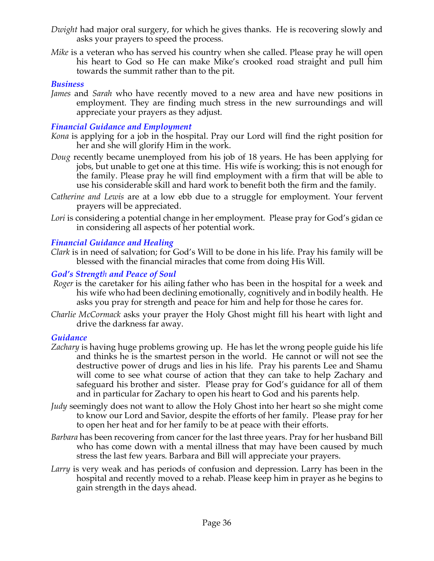- *Dwight* had major oral surgery, for which he gives thanks. He is recovering slowly and asks your prayers to speed the process.
- *Mike* is a veteran who has served his country when she called. Please pray he will open his heart to God so He can make Mike's crooked road straight and pull him towards the summit rather than to the pit.

## *Business*

*James* and *Sarah* who have recently moved to a new area and have new positions in employment. They are finding much stress in the new surroundings and will appreciate your prayers as they adjust.

## *Financial Guidance and Employment*

- *Kona* is applying for a job in the hospital. Pray our Lord will find the right position for her and she will glorify Him in the work.
- *Doug* recently became unemployed from his job of 18 years. He has been applying for jobs, but unable to get one at this time. His wife is working; this is not enough for the family. Please pray he will find employment with a firm that will be able to use his considerable skill and hard work to benefit both the firm and the family.
- *Catherine and Lewis* are at a low ebb due to a struggle for employment. Your fervent prayers will be appreciated.
- Lori is considering a potential change in her employment. Please pray for God's gidan ce in considering all aspects of her potential work.

## *Financial Guidance and Healing*

*Clark* is in need of salvation; for God's Will to be done in his life. Pray his family will be blessed with the financial miracles that come from doing His Will.

## *God's Strength and Peace of Soul*

- *Roger* is the caretaker for his ailing father who has been in the hospital for a week and his wife who had been declining emotionally, cognitively and in bodily health. He asks you pray for strength and peace for him and help for those he cares for.
- *Charlie McCormack* asks your prayer the Holy Ghost might fill his heart with light and drive the darkness far away.

## *Guidance*

- *Zachary* is having huge problems growing up. He has let the wrong people guide his life and thinks he is the smartest person in the world. He cannot or will not see the destructive power of drugs and lies in his life. Pray his parents Lee and Shamu will come to see what course of action that they can take to help Zachary and safeguard his brother and sister. Please pray for God's guidance for all of them and in particular for Zachary to open his heart to God and his parents help.
- *Judy* seemingly does not want to allow the Holy Ghost into her heart so she might come to know our Lord and Savior, despite the efforts of her family. Please pray for her to open her heat and for her family to be at peace with their efforts.
- *Barbara* has been recovering from cancer for the last three years. Pray for her husband Bill who has come down with a mental illness that may have been caused by much stress the last few years. Barbara and Bill will appreciate your prayers.
- *Larry* is very weak and has periods of confusion and depression. Larry has been in the hospital and recently moved to a rehab. Please keep him in prayer as he begins to gain strength in the days ahead.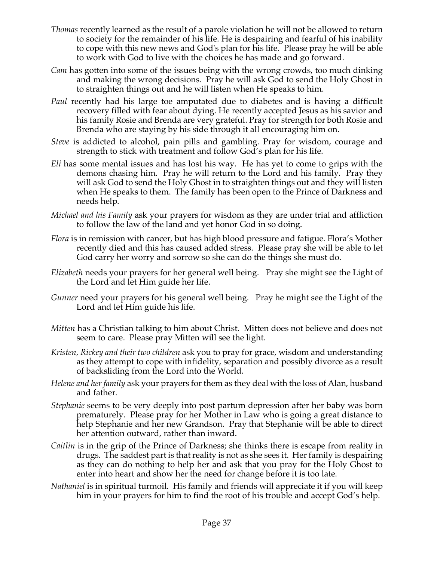- *Thomas* recently learned as the result of a parole violation he will not be allowed to return to society for the remainder of his life. He is despairing and fearful of his inability to cope with this new news and God's plan for his life. Please pray he will be able to work with God to live with the choices he has made and go forward.
- *Cam* has gotten into some of the issues being with the wrong crowds, too much dinking and making the wrong decisions. Pray he will ask God to send the Holy Ghost in to straighten things out and he will listen when He speaks to him.
- *Paul* recently had his large toe amputated due to diabetes and is having a difficult recovery filled with fear about dying. He recently accepted Jesus as his savior and his family Rosie and Brenda are very grateful. Pray for strength for both Rosie and Brenda who are staying by his side through it all encouraging him on.
- *Steve* is addicted to alcohol, pain pills and gambling. Pray for wisdom, courage and strength to stick with treatment and follow God's plan for his life.
- *Eli* has some mental issues and has lost his way. He has yet to come to grips with the demons chasing him. Pray he will return to the Lord and his family. Pray they will ask God to send the Holy Ghost in to straighten things out and they will listen when He speaks to them. The family has been open to the Prince of Darkness and needs help.
- *Michael and his Family* ask your prayers for wisdom as they are under trial and affliction to follow the law of the land and yet honor God in so doing.
- *Flora* is in remission with cancer, but has high blood pressure and fatigue. Flora's Mother recently died and this has caused added stress. Please pray she will be able to let God carry her worry and sorrow so she can do the things she must do.
- *Elizabeth* needs your prayers for her general well being. Pray she might see the Light of the Lord and let Him guide her life.
- *Gunner* need your prayers for his general well being. Pray he might see the Light of the Lord and let Him guide his life.
- *Mitten* has a Christian talking to him about Christ. Mitten does not believe and does not seem to care. Please pray Mitten will see the light.
- *Kristen, Rickey and their two children* ask you to pray for grace, wisdom and understanding as they attempt to cope with infidelity, separation and possibly divorce as a result of backsliding from the Lord into the World.
- *Helene and her family* ask your prayers for them as they deal with the loss of Alan, husband and father.
- *Stephanie* seems to be very deeply into post partum depression after her baby was born prematurely. Please pray for her Mother in Law who is going a great distance to help Stephanie and her new Grandson. Pray that Stephanie will be able to direct her attention outward, rather than inward.
- *Caitlin* is in the grip of the Prince of Darkness; she thinks there is escape from reality in drugs. The saddest part is that reality is not as she sees it. Her family is despairing as they can do nothing to help her and ask that you pray for the Holy Ghost to enter into heart and show her the need for change before it is too late.
- *Nathaniel* is in spiritual turmoil. His family and friends will appreciate it if you will keep him in your prayers for him to find the root of his trouble and accept God's help.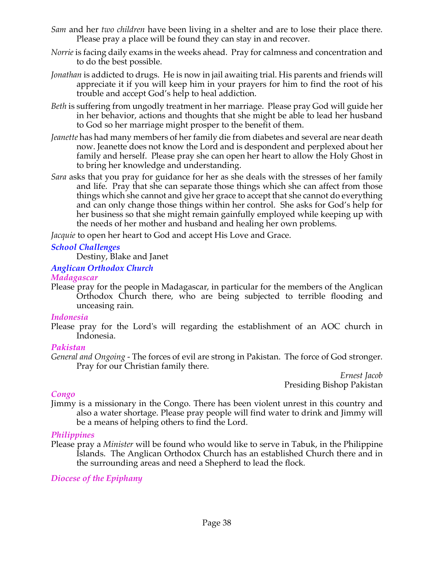- *Sam* and her *two children* have been living in a shelter and are to lose their place there. Please pray a place will be found they can stay in and recover.
- *Norrie* is facing daily exams in the weeks ahead. Pray for calmness and concentration and to do the best possible.
- *Jonathan* is addicted to drugs. He is now in jail awaiting trial. His parents and friends will appreciate it if you will keep him in your prayers for him to find the root of his trouble and accept God's help to heal addiction.
- *Beth* is suffering from ungodly treatment in her marriage. Please pray God will guide her in her behavior, actions and thoughts that she might be able to lead her husband to God so her marriage might prosper to the benefit of them.
- *Jeanette* has had many members of her family die from diabetes and several are near death now. Jeanette does not know the Lord and is despondent and perplexed about her family and herself. Please pray she can open her heart to allow the Holy Ghost in to bring her knowledge and understanding.
- *Sara* asks that you pray for guidance for her as she deals with the stresses of her family and life. Pray that she can separate those things which she can affect from those things which she cannot and give her grace to accept that she cannot do everything and can only change those things within her control. She asks for God's help for her business so that she might remain gainfully employed while keeping up with the needs of her mother and husband and healing her own problems.

*Jacquie* to open her heart to God and accept His Love and Grace.

## *School Challenges*

Destiny, Blake and Janet

## *Anglican Orthodox Church*

*Madagascar*

Please pray for the people in Madagascar, in particular for the members of the Anglican Orthodox Church there, who are being subjected to terrible flooding and unceasing rain.

## *Indonesia*

Please pray for the Lord's will regarding the establishment of an AOC church in Indonesia.

## *Pakistan*

*General and Ongoing -* The forces of evil are strong in Pakistan. The force of God stronger. Pray for our Christian family there.

*Ernest Jacob* Presiding Bishop Pakistan

# *Congo*

Jimmy is a missionary in the Congo. There has been violent unrest in this country and also a water shortage. Please pray people will find water to drink and Jimmy will be a means of helping others to find the Lord.

# *Philippines*

Please pray a *Minister* will be found who would like to serve in Tabuk, in the Philippine Islands. The Anglican Orthodox Church has an established Church there and in the surrounding areas and need a Shepherd to lead the flock*.*

# *Diocese of the Epiphany*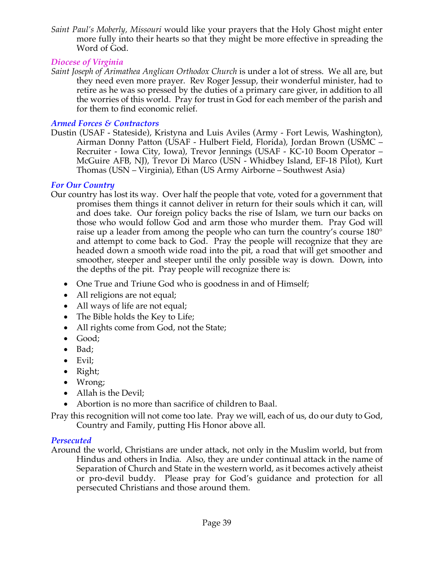*Saint Paul's Moberly, Missouri* would like your prayers that the Holy Ghost might enter more fully into their hearts so that they might be more effective in spreading the Word of God.

## *Diocese of Virginia*

*Saint Joseph of Arimathea Anglican Orthodox Church* is under a lot of stress. We all are, but they need even more prayer. Rev Roger Jessup, their wonderful minister, had to retire as he was so pressed by the duties of a primary care giver, in addition to all the worries of this world. Pray for trust in God for each member of the parish and for them to find economic relief.

## *Armed Forces & Contractors*

Dustin (USAF - Stateside), Kristyna and Luis Aviles (Army - Fort Lewis, Washington), Airman Donny Patton (USAF - Hulbert Field, Florida), Jordan Brown (USMC – Recruiter - Iowa City, Iowa), Trevor Jennings (USAF - KC-10 Boom Operator – McGuire AFB, NJ), Trevor Di Marco (USN - Whidbey Island, EF-18 Pilot), Kurt Thomas (USN – Virginia), Ethan (US Army Airborne – Southwest Asia)

## *For Our Country*

- Our country has lost its way. Over half the people that vote, voted for a government that promises them things it cannot deliver in return for their souls which it can, will and does take. Our foreign policy backs the rise of Islam, we turn our backs on those who would follow God and arm those who murder them. Pray God will raise up a leader from among the people who can turn the country's course 180° and attempt to come back to God. Pray the people will recognize that they are headed down a smooth wide road into the pit, a road that will get smoother and smoother, steeper and steeper until the only possible way is down. Down, into the depths of the pit. Pray people will recognize there is:
	- One True and Triune God who is goodness in and of Himself;
	- All religions are not equal;
	- All ways of life are not equal;
	- The Bible holds the Key to Life;
	- All rights come from God, not the State;
	- Good;
	- Bad;
	- Evil;
	- Right;
	- Wrong;
	- Allah is the Devil;
	- Abortion is no more than sacrifice of children to Baal.

Pray this recognition will not come too late. Pray we will, each of us, do our duty to God, Country and Family, putting His Honor above all.

## *Persecuted*

Around the world, Christians are under attack, not only in the Muslim world, but from Hindus and others in India. Also, they are under continual attack in the name of Separation of Church and State in the western world, as it becomes actively atheist or pro-devil buddy. Please pray for God's guidance and protection for all persecuted Christians and those around them.